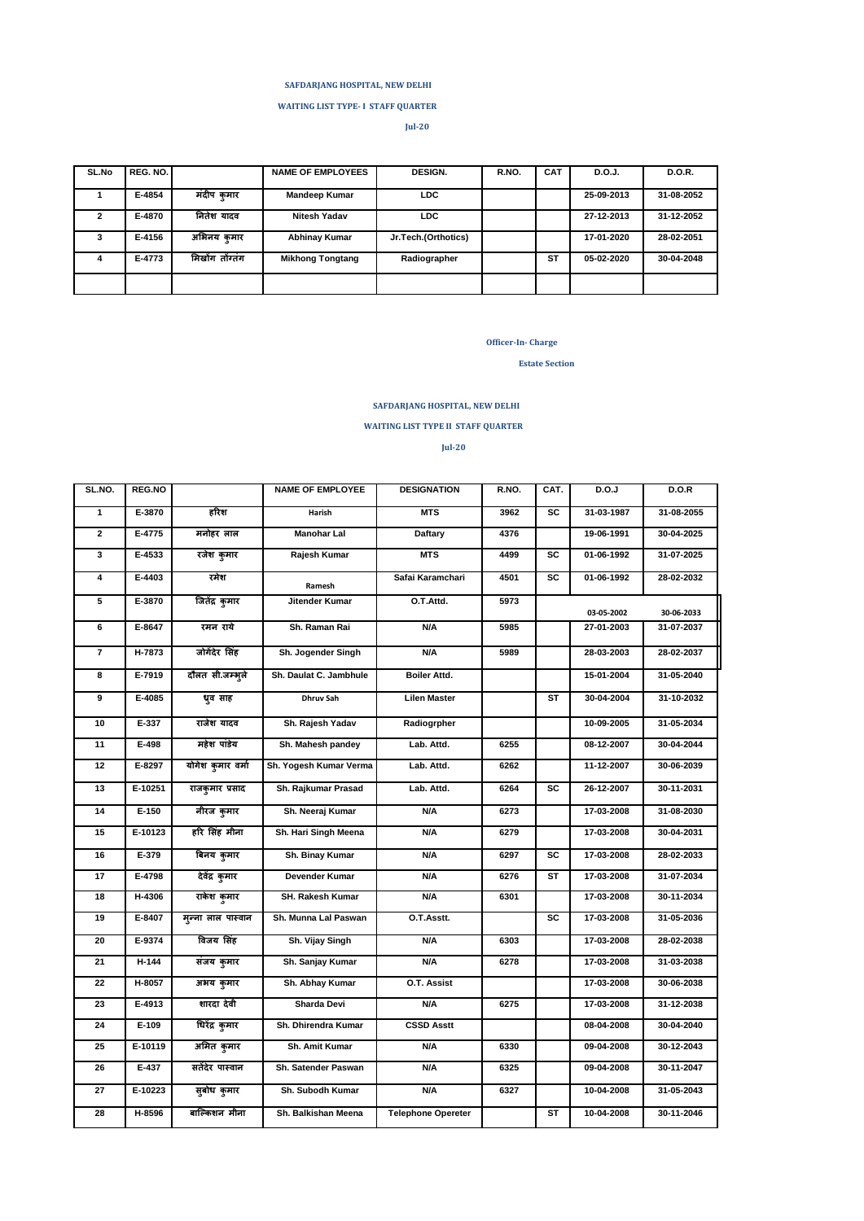### **SAFDARJANG HOSPITAL, NEW DELHI**

 **WAITING LIST TYPE- I STAFF QUARTER**

**Jul-20**

| SL.No | REG. NO. |                 | <b>NAME OF EMPLOYEES</b> | <b>DESIGN.</b>      | R.NO. | <b>CAT</b> | D.O.J.     | D.O.R.     |
|-------|----------|-----------------|--------------------------|---------------------|-------|------------|------------|------------|
|       | E-4854   | मंदीप कुमार     | <b>Mandeep Kumar</b>     | LDC.                |       |            | 25-09-2013 | 31-08-2052 |
|       | E-4870   | नितेश यादव      | <b>Nitesh Yadav</b>      | LDC.                |       |            | 27-12-2013 | 31-12-2052 |
| 3     | E-4156   | अभिनय कमार      | <b>Abhinay Kumar</b>     | Jr.Tech.(Orthotics) |       |            | 17-01-2020 | 28-02-2051 |
| 4     | E-4773   | मिखोंग तोंग्तंग | <b>Mikhong Tongtang</b>  | Radiographer        |       | <b>ST</b>  | 05-02-2020 | 30-04-2048 |
|       |          |                 |                          |                     |       |            |            |            |

### **Officer-In- Charge**

 **Estate Section** 

# **SAFDARJANG HOSPITAL, NEW DELHI**

 **WAITING LIST TYPE II STAFF QUARTER**

**Jul-20**

| SL.NO.         | REG.NO     |                    | <b>NAME OF EMPLOYEE</b> | <b>DESIGNATION</b>        | R.NO. | CAT.            | D.O.J      | D.O.R      |
|----------------|------------|--------------------|-------------------------|---------------------------|-------|-----------------|------------|------------|
| $\mathbf{1}$   | E-3870     | हरिश               | Harish                  | <b>MTS</b>                | 3962  | <b>SC</b>       | 31-03-1987 | 31-08-2055 |
| $\mathbf{2}$   | E-4775     | मनोहर लाल          | Manohar Lal             | <b>Daftary</b>            | 4376  |                 | 19-06-1991 | 30-04-2025 |
| 3              | E-4533     | रजेश कुमार         | Rajesh Kumar            | <b>MTS</b>                | 4499  | SC              | 01-06-1992 | 31-07-2025 |
| 4              | E-4403     | रमेश               | Ramesh                  | Safai Karamchari          | 4501  | SC              | 01-06-1992 | 28-02-2032 |
| $\overline{5}$ | E-3870     | जितेंद्र कुमार     | Jitender Kumar          | O.T.Attd.                 | 5973  |                 | 03-05-2002 | 30-06-2033 |
| 6              | E-8647     | रमन राये           | Sh. Raman Rai           | N/A                       | 5985  |                 | 27-01-2003 | 31-07-2037 |
| $\overline{7}$ | H-7873     | जोगेंदेर सिंह      | Sh. Jogender Singh      | N/A                       | 5989  |                 | 28-03-2003 | 28-02-2037 |
| 8              | E-7919     | दौलत सी.जम्भूले    | Sh. Daulat C. Jambhule  | <b>Boiler Attd.</b>       |       |                 | 15-01-2004 | 31-05-2040 |
| 9              | E-4085     | धृव साह            | <b>Dhruv Sah</b>        | <b>Lilen Master</b>       |       | <b>ST</b>       | 30-04-2004 | 31-10-2032 |
| 10             | $E-337$    | राजेश यादव         | Sh. Rajesh Yadav        | Radiogrpher               |       |                 | 10-09-2005 | 31-05-2034 |
| 11             | E-498      | महेश पांडेय        | Sh. Mahesh pandey       | Lab. Attd.                | 6255  |                 | 08-12-2007 | 30-04-2044 |
| 12             | E-8297     | योगेश कुमार वर्मा  | Sh. Yogesh Kumar Verma  | Lab. Attd.                | 6262  |                 | 11-12-2007 | 30-06-2039 |
| 13             | E-10251    | राजकुमार प्रसाद    | Sh. Rajkumar Prasad     | Lab. Attd.                | 6264  | SC              | 26-12-2007 | 30-11-2031 |
| 14             | $E-150$    | नीरज कुमार         | Sh. Neeraj Kumar        | N/A                       | 6273  |                 | 17-03-2008 | 31-08-2030 |
| 15             | E-10123    | हरि सिंह मीना      | Sh. Hari Singh Meena    | N/A                       | 6279  |                 | 17-03-2008 | 30-04-2031 |
| 16             | E-379      | बिनय कुमार         | Sh. Binay Kumar         | N/A                       | 6297  | $\overline{sc}$ | 17-03-2008 | 28-02-2033 |
| 17             | E-4798     | देवेंद्र कुमार     | Devender Kumar          | N/A                       | 6276  | <b>ST</b>       | 17-03-2008 | 31-07-2034 |
| 18             | H-4306     | राकेश कुमार        | SH. Rakesh Kumar        | N/A                       | 6301  |                 | 17-03-2008 | 30-11-2034 |
| 19             | E-8407     | मून्ना लाल पास्वान | Sh. Munna Lal Paswan    | O.T.Asstt.                |       | SC              | 17-03-2008 | 31-05-2036 |
| 20             | E-9374     | विजय सिंह          | Sh. Vijay Singh         | N/A                       | 6303  |                 | 17-03-2008 | 28-02-2038 |
| 21             | $II - 144$ | संजय कुमार         | Sh. Sanjay Kumar        | N/A                       | 6278  |                 | 17-03-2008 | 31-03-2038 |
| 22             | H-8057     | अभय कुमार          | Sh. Abhay Kumar         | O.T. Assist               |       |                 | 17-03-2008 | 30-06-2038 |
| 23             | E-4913     | शारदा देवी         | Sharda Devi             | N/A                       | 6275  |                 | 17-03-2008 | 31-12-2038 |
| 24             | E-109      | धिरेंद्र कुमार     | Sh. Dhirendra Kumar     | <b>CSSD Asstt</b>         |       |                 | 08-04-2008 | 30-04-2040 |
| 25             | E-10119    | अमित कुमार         | Sh. Amit Kumar          | N/A                       | 6330  |                 | 09-04-2008 | 30-12-2043 |
| 26             | E-437      | सतेंदेर पास्वान    | Sh. Satender Paswan     | N/A                       | 6325  |                 | 09-04-2008 | 30-11-2047 |
| 27             | E-10223    | सुबोध कुमार        | Sh. Subodh Kumar        | N/A                       | 6327  |                 | 10-04-2008 | 31-05-2043 |
| 28             | H-8596     | बाल्किशन मीना      | Sh. Balkishan Meena     | <b>Telephone Opereter</b> |       | <b>ST</b>       | 10-04-2008 | 30-11-2046 |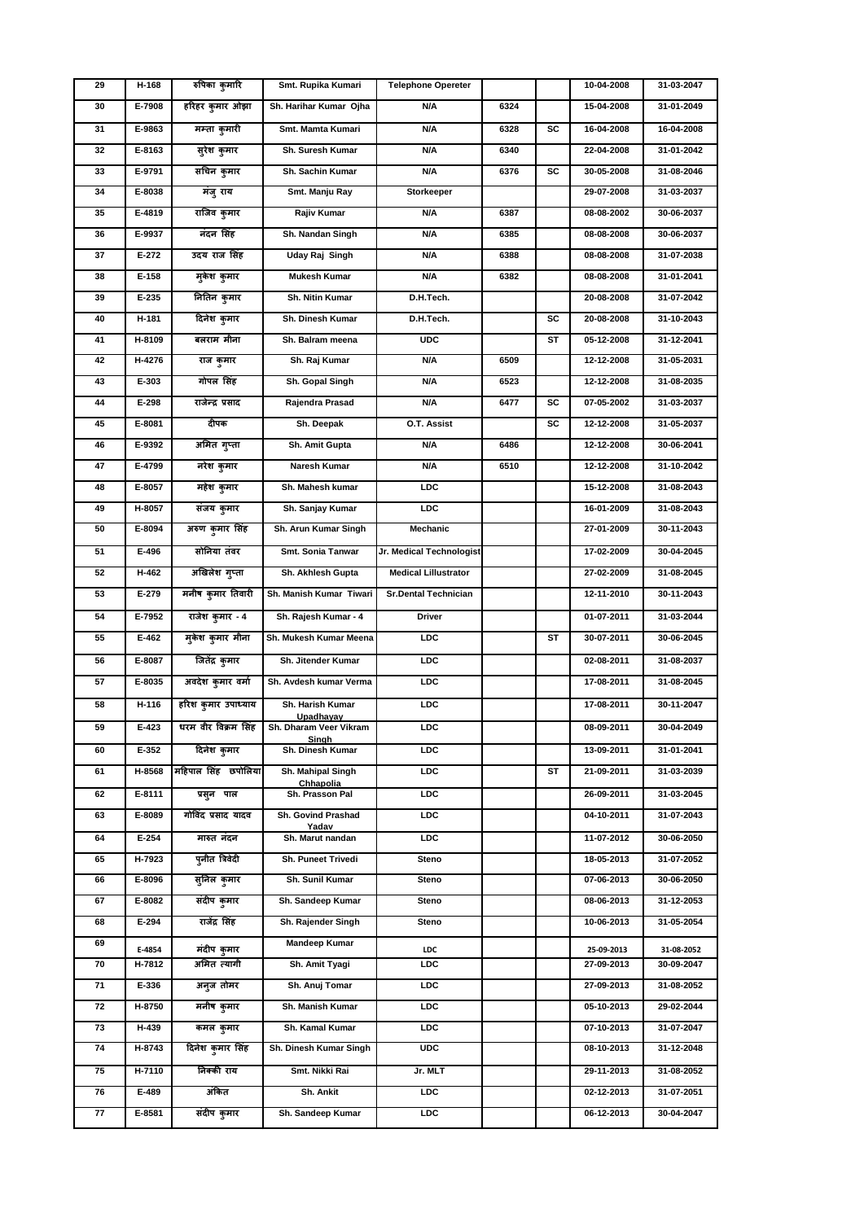| 29 | H-168            | रुपिका कुमारि              | Smt. Rupika Kumari                  | <b>Telephone Opereter</b>   |      |    | 10-04-2008               | 31-03-2047               |
|----|------------------|----------------------------|-------------------------------------|-----------------------------|------|----|--------------------------|--------------------------|
| 30 | E-7908           | हरिहर कुमार ओझा            | Sh. Harihar Kumar Ojha              | N/A                         | 6324 |    | 15-04-2008               | 31-01-2049               |
| 31 | E-9863           | मम्ता कुमारी               | Smt. Mamta Kumari                   | N/A                         | 6328 | SC | 16-04-2008               | 16-04-2008               |
| 32 | E-8163           | सुरेश कुमार                | Sh. Suresh Kumar                    | N/A                         | 6340 |    | 22-04-2008               | 31-01-2042               |
| 33 | E-9791           | सचिन कुमार                 | Sh. Sachin Kumar                    | N/A                         | 6376 | SC | 30-05-2008               | 31-08-2046               |
| 34 | E-8038           | मंजू राय                   | Smt. Manju Ray                      | Storkeeper                  |      |    | 29-07-2008               | 31-03-2037               |
| 35 | E-4819           | राजिव कुमार                | Rajiv Kumar                         | N/A                         | 6387 |    | 08-08-2002               | 30-06-2037               |
| 36 | E-9937           | नंदन सिंह                  | Sh. Nandan Singh                    | N/A                         | 6385 |    | 08-08-2008               | 30-06-2037               |
| 37 | $E-272$          | उदय राज सिंह               | Uday Raj Singh                      | N/A                         | 6388 |    | 08-08-2008               | 31-07-2038               |
| 38 | E-158            | मुकेश कुमार                | Mukesh Kumar                        | N/A                         | 6382 |    | 08-08-2008               | 31-01-2041               |
| 39 | E-235            | नितिन कुमार                | Sh. Nitin Kumar                     | D.H.Tech.                   |      |    | 20-08-2008               | 31-07-2042               |
| 40 | H-181            | दिनेश कुमार                | Sh. Dinesh Kumar                    | D.H.Tech.                   |      | SC | 20-08-2008               | 31-10-2043               |
| 41 | H-8109           | बलराम मीना                 | Sh. Balram meena                    | <b>UDC</b>                  |      | SТ | 05-12-2008               | 31-12-2041               |
| 42 | H-4276           | राज कुमार                  | Sh. Raj Kumar                       | N/A                         | 6509 |    | 12-12-2008               | 31-05-2031               |
| 43 | E-303            | गोपल सिंह                  | Sh. Gopal Singh                     | N/A                         | 6523 |    | 12-12-2008               | 31-08-2035               |
| 44 | E-298            | राजेन्द्र प्रसाद           | Rajendra Prasad                     | N/A                         | 6477 | SC | 07-05-2002               | 31-03-2037               |
| 45 | E-8081           | दीपक                       | Sh. Deepak                          | O.T. Assist                 |      | SC | 12-12-2008               | 31-05-2037               |
| 46 | E-9392           | अमित गुप्ता                | <b>Sh. Amit Gupta</b>               | N/A                         | 6486 |    | 12-12-2008               | 30-06-2041               |
| 47 | E-4799           | नरेश कुमार                 | Naresh Kumar                        | N/A                         | 6510 |    | 12-12-2008               | 31-10-2042               |
| 48 | E-8057           | महेश कुमार                 | Sh. Mahesh kumar                    | LDC                         |      |    | 15-12-2008               | 31-08-2043               |
| 49 | H-8057           | संजय कुमार                 | Sh. Sanjay Kumar                    | LDC                         |      |    | 16-01-2009               | 31-08-2043               |
| 50 | E-8094           | अरुण कुमार सिंह            | Sh. Arun Kumar Singh                | Mechanic                    |      |    | 27-01-2009               | 30-11-2043               |
| 51 | E-496            | सोनिया तंवर                | Smt. Sonia Tanwar                   | Jr. Medical Technologist    |      |    | 17-02-2009               | 30-04-2045               |
| 52 | H-462            | अखिलेश गुप्ता              | Sh. Akhlesh Gupta                   | <b>Medical Lillustrator</b> |      |    | 27-02-2009               | 31-08-2045               |
| 53 | $E-279$          | मनीष कुमार तिवारी          | Sh. Manish Kumar Tiwari             | <b>Sr.Dental Technician</b> |      |    | 12-11-2010               | 30-11-2043               |
| 54 | E-7952           | राजेश कुमार - 4            | Sh. Rajesh Kumar - 4                | Driver                      |      |    | 01-07-2011               | 31-03-2044               |
| 55 | E-462            | म्केश कुमार मीना           | Sh. Mukesh Kumar Meena              | LDC                         |      | ST | 30-07-2011               | 30-06-2045               |
| 56 | E-8087           | जितेंद्र कुमार             | Sh. Jitender Kumar                  | LDC                         |      |    | 02-08-2011               | 31-08-2037               |
| 57 | E-8035           | अवदेश कुमार वर्मा          | Sh. Avdesh kumar Verma              | LDC                         |      |    | 17-08-2011               | 31-08-2045               |
| 58 | H-116            | हरिश कुमार उपाध्याय        | Sh. Harish Kumar                    | LDC                         |      |    | 17-08-2011               | 30-11-2047               |
| 59 | E-423            | धरम वीर विक्रम सिंह        | Upadhayay<br>Sh. Dharam Veer Vikram | LDC                         |      |    | 08-09-2011               | 30-04-2049               |
| 60 | E-352            | दिनेश कुमार                | Singh<br>Sh. Dinesh Kumar           | LDC                         |      |    | 13-09-2011               | 31-01-2041               |
| 61 | H-8568           | महिपाल सिंह छपोलिया        | Sh. Mahipal Singh                   | <b>LDC</b>                  |      | ST | 21-09-2011               | 31-03-2039               |
| 62 | E-8111           | प्रस् <b>न पाल</b>         | <b>Chhapolia</b><br>Sh. Prasson Pal | <b>LDC</b>                  |      |    | 26-09-2011               | 31-03-2045               |
| 63 | E-8089           | गोविंद प्रसाद यादव         | Sh. Govind Prashad                  | LDC                         |      |    | 04-10-2011               | 31-07-2043               |
| 64 | $E-254$          | मारुत नंदन                 | Yadav<br>Sh. Marut nandan           | <b>LDC</b>                  |      |    | 11-07-2012               | 30-06-2050               |
| 65 | H-7923           | पुनीत त्रिवेदी             | Sh. Puneet Trivedi                  | Steno                       |      |    | 18-05-2013               | 31-07-2052               |
| 66 | E-8096           | सुनिल कुमार                | Sh. Sunil Kumar                     | Steno                       |      |    | 07-06-2013               | 30-06-2050               |
| 67 | F-8082           | संदीप कुमार                | Sh. Sandeep Kumar                   | Steno                       |      |    | 08-06-2013               | 31-12-2053               |
| 68 | E-294            | राजेंद्र सिंह              | Sh. Rajender Singh                  | Steno                       |      |    | 10-06-2013               | 31-05-2054               |
| 69 |                  |                            | <b>Mandeep Kumar</b>                |                             |      |    |                          |                          |
| 70 | E-4854<br>H-7812 | मंदीप कुमार<br>अमित त्यागी | Sh. Amit Tyagi                      | <b>LDC</b><br>LDC           |      |    | 25-09-2013<br>27-09-2013 | 31-08-2052<br>30-09-2047 |
| 71 | E-336            | अनुज तोमर                  | Sh. Anuj Tomar                      | <b>LDC</b>                  |      |    | 27-09-2013               | 31-08-2052               |
| 72 | H-8750           | मनीष कुमार                 | Sh. Manish Kumar                    | LDC                         |      |    | 05-10-2013               | 29-02-2044               |
| 73 | H-439            | कमल कुमार                  | Sh. Kamal Kumar                     | LDC                         |      |    | 07-10-2013               | 31-07-2047               |
| 74 | H-8743           | दिनेश कुमार सिंह           | Sh. Dinesh Kumar Singh              | <b>UDC</b>                  |      |    | 08-10-2013               | 31-12-2048               |
| 75 | H-7110           | निक्की राय                 | Smt. Nikki Rai                      | Jr. MLT                     |      |    | 29-11-2013               | 31-08-2052               |
| 76 | E-489            | अंकित                      | Sh. Ankit                           | LDC                         |      |    | 02-12-2013               | 31-07-2051               |
| 77 | E-8581           | संदीप कुमार                | Sh. Sandeep Kumar                   | LDC                         |      |    | 06-12-2013               | 30-04-2047               |
|    |                  |                            |                                     |                             |      |    |                          |                          |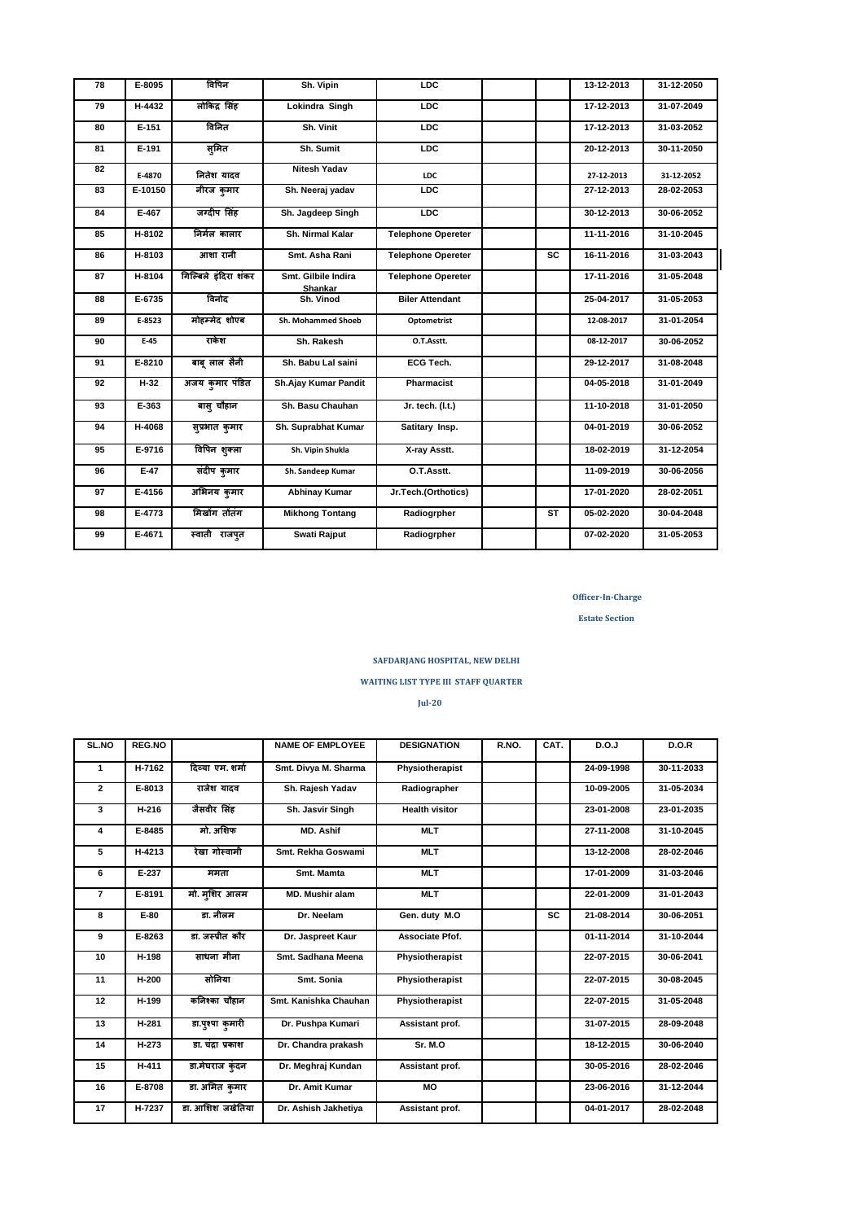| 78 | E-8095   | विपिन                | Sh. Vipin                      | LDC                       |           | 13-12-2013 | 31-12-2050 |
|----|----------|----------------------|--------------------------------|---------------------------|-----------|------------|------------|
| 79 | H-4432   | लोकिंद्र सिंह        | Lokindra Singh                 | LDC                       |           | 17-12-2013 | 31-07-2049 |
| 80 | $E-151$  | विनित                | Sh. Vinit                      | LDC                       |           | 17-12-2013 | 31-03-2052 |
| 81 | E-191    | सुमित                | Sh. Sumit                      | LDC                       |           | 20-12-2013 | 30-11-2050 |
| 82 | E-4870   | नितेश यादव           | <b>Nitesh Yadav</b>            | <b>LDC</b>                |           | 27-12-2013 | 31-12-2052 |
| 83 | E-10150  | नीरज कुमार           | Sh. Neeraj yadav               | LDC                       |           | 27-12-2013 | 28-02-2053 |
| 84 | E-467    | जग्दीप सिंह          | Sh. Jagdeep Singh              | LDC                       |           | 30-12-2013 | 30-06-2052 |
| 85 | H-8102   | निर्मल कालार         | Sh. Nirmal Kalar               | <b>Telephone Opereter</b> |           | 11-11-2016 | 31-10-2045 |
| 86 | $H-8103$ | आशा रानी             | Smt. Asha Rani                 | <b>Telephone Opereter</b> | <b>SC</b> | 16-11-2016 | 31-03-2043 |
| 87 | H-8104   | गिल्बिले इंदिरा शंकर | Smt. Gilbile Indira<br>Shankar | <b>Telephone Opereter</b> |           | 17-11-2016 | 31-05-2048 |
| 88 | $E-6735$ | विनोद                | Sh. Vinod                      | <b>Biler Attendant</b>    |           | 25-04-2017 | 31-05-2053 |
| 89 | E-8523   | मोहम्मेद शोएब        | Sh. Mohammed Shoeb             | Optometrist               |           | 12-08-2017 | 31-01-2054 |
| 90 | $E-45$   | राकेश                | Sh. Rakesh                     | O.T.Asstt.                |           | 08-12-2017 | 30-06-2052 |
| 91 | E-8210   | बाब् लाल सैनी        | Sh. Babu Lal saini             | ECG Tech.                 |           | 29-12-2017 | 31-08-2048 |
| 92 | $II-32$  | अजय कुमार पंडित      | Sh.Ajay Kumar Pandit           | <b>Pharmacist</b>         |           | 04-05-2018 | 31-01-2049 |
| 93 | E-363    | बास् चौहान           | Sh. Basu Chauhan               | Jr. tech. (I.t.)          |           | 11-10-2018 | 31-01-2050 |
| 94 | H-4068   | सुप्रभात कुमार       | Sh. Suprabhat Kumar            | Satitary Insp.            |           | 04-01-2019 | 30-06-2052 |
| 95 | E-9716   | विपिन शुक्ला         | Sh. Vipin Shukla               | X-ray Asstt.              |           | 18-02-2019 | 31-12-2054 |
| 96 | $E-47$   | संदीप कुमार          | Sh. Sandeep Kumar              | O.T.Asstt.                |           | 11-09-2019 | 30-06-2056 |
| 97 | E-4156   | अभिनय कुमार          | <b>Abhinay Kumar</b>           | Jr.Tech.(Orthotics)       |           | 17-01-2020 | 28-02-2051 |
| 98 | E-4773   | मिखोंग तोंतंग        | <b>Mikhong Tontang</b>         | Radiogrpher               | <b>ST</b> | 05-02-2020 | 30-04-2048 |
| 99 | E-4671   | स्वाती राजपुत        | Swati Rajput                   | Radiogrpher               |           | 07-02-2020 | 31-05-2053 |

**Estate Section** 

# **SAFDARJANG HOSPITAL, NEW DELHI**

## **WAITING LIST TYPE III STAFF QUARTER**

**Jul-20**

| SL.NO          | REG.NO   |                  | <b>NAME OF EMPLOYEE</b> | <b>DESIGNATION</b>    | R.NO. | CAT.      | D.O.J      | D.O.R      |
|----------------|----------|------------------|-------------------------|-----------------------|-------|-----------|------------|------------|
|                |          |                  |                         |                       |       |           |            |            |
| 1              | H-7162   | दिव्या एम. शर्मा | Smt. Divya M. Sharma    | Physiotherapist       |       |           | 24-09-1998 | 30-11-2033 |
| $\mathbf{2}$   | E-8013   | राजेश यादव       | Sh. Rajesh Yadav        | Radiographer          |       |           | 10-09-2005 | 31-05-2034 |
| 3              | H-216    | जैसवीर सिंह      | Sh. Jasvir Singh        | <b>Health visitor</b> |       |           | 23-01-2008 | 23-01-2035 |
| 4              | E-8485   | मो. अशिफ         | MD. Ashif               | <b>MLT</b>            |       |           | 27-11-2008 | 31-10-2045 |
| 5              | H-4213   | रेखा गोस्वामी    | Smt. Rekha Goswami      | <b>MLT</b>            |       |           | 13-12-2008 | 28-02-2046 |
| 6              | $E-237$  | ममता             | Smt. Mamta              | <b>MLT</b>            |       |           | 17-01-2009 | 31-03-2046 |
| $\overline{7}$ | E-8191   | मो. मशिर आलम     | <b>MD. Mushir alam</b>  | <b>MLT</b>            |       |           | 22-01-2009 | 31-01-2043 |
| 8              | $E-80$   | डा. नीलम         | Dr. Neelam              | Gen. duty M.O         |       | <b>SC</b> | 21-08-2014 | 30-06-2051 |
| 9              | E-8263   | डा. जस्पीत कौर   | Dr. Jaspreet Kaur       | Associate Pfof.       |       |           | 01-11-2014 | 31-10-2044 |
| 10             | H-198    | साधना मीना       | Smt. Sadhana Meena      | Physiotherapist       |       |           | 22-07-2015 | 30-06-2041 |
| 11             | H-200    | सोनिया           | Smt. Sonia              | Physiotherapist       |       |           | 22-07-2015 | 30-08-2045 |
| 12             | H-199    | कनिश्का चौहान    | Smt. Kanishka Chauhan   | Physiotherapist       |       |           | 22-07-2015 | 31-05-2048 |
| 13             | H-281    | डा.पृश्पा कुमारी | Dr. Pushpa Kumari       | Assistant prof.       |       |           | 31-07-2015 | 28-09-2048 |
| 14             | $II-273$ | डा. चंदा प्रकाश  | Dr. Chandra prakash     | Sr. M.O               |       |           | 18-12-2015 | 30-06-2040 |
| 15             | H-411    | डा.मेघराज कंदन   | Dr. Meghraj Kundan      | Assistant prof.       |       |           | 30-05-2016 | 28-02-2046 |
| 16             | E-8708   | डा. अमित कुमार   | Dr. Amit Kumar          | MO                    |       |           | 23-06-2016 | 31-12-2044 |
| 17             | H-7237   | डा. आशिश जखेतिया | Dr. Ashish Jakhetiya    | Assistant prof.       |       |           | 04-01-2017 | 28-02-2048 |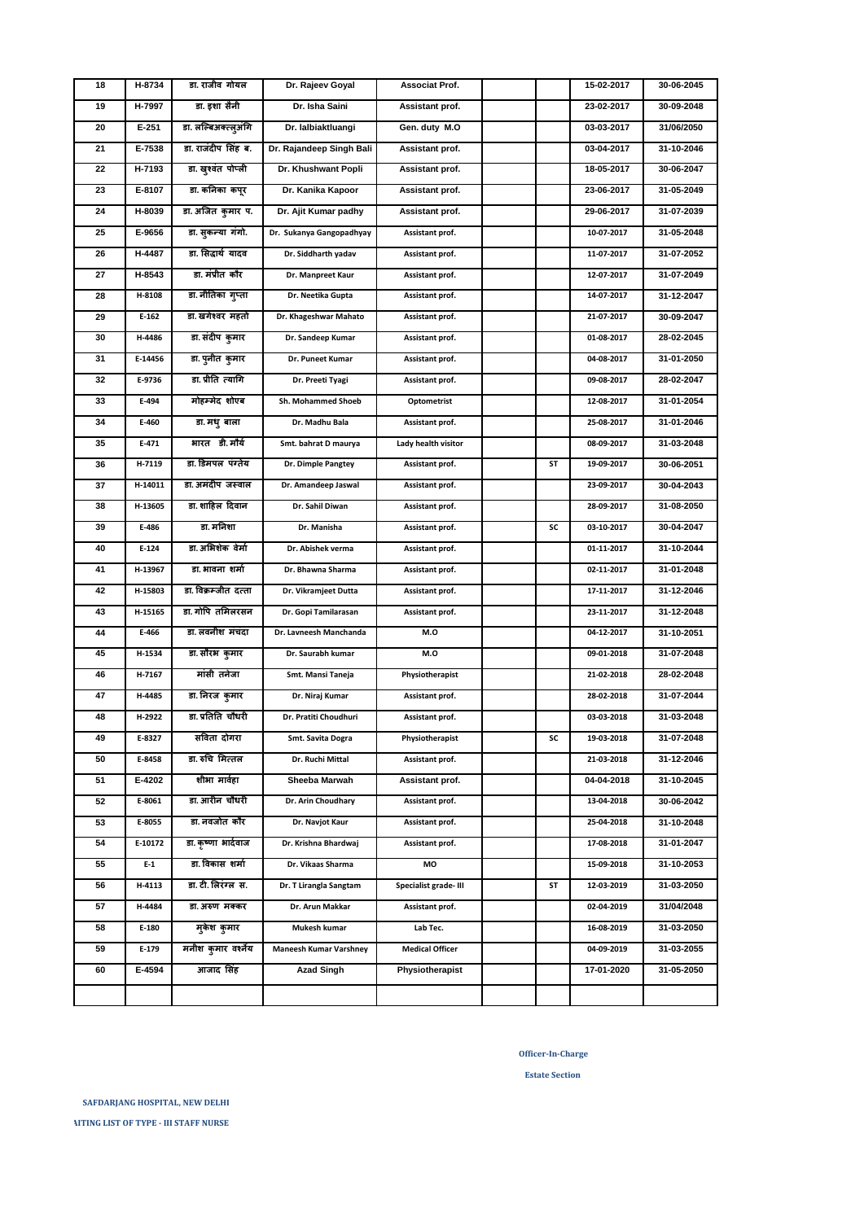**SAFDARJANG HOSPITAL, NEW DELHI** 

**Officer-In-Charge**

**Estate Section** 

| 18 | H-8734  | डा. राजीव गोयल       | Dr. Rajeev Goyal              | Associat Prof.         |    | 15-02-2017 | 30-06-2045 |
|----|---------|----------------------|-------------------------------|------------------------|----|------------|------------|
| 19 | H-7997  | डा. इशा सैनी         | Dr. Isha Saini                | Assistant prof.        |    | 23-02-2017 | 30-09-2048 |
| 20 | $E-251$ | डा. लल्बिअक्त्ल्अगि  | Dr. lalbiaktluangi            | Gen. duty M.O          |    | 03-03-2017 | 31/06/2050 |
| 21 | E-7538  | डा. राजंदीप सिंह ब.  | Dr. Rajandeep Singh Bali      | Assistant prof.        |    | 03-04-2017 | 31-10-2046 |
| 22 | H-7193  | डा. खुश्वंत पोप्ली   | Dr. Khushwant Popli           | Assistant prof.        |    | 18-05-2017 | 30-06-2047 |
| 23 | E-8107  | डा. कनिका कपूर       | Dr. Kanika Kapoor             | Assistant prof.        |    | 23-06-2017 | 31-05-2049 |
| 24 | H-8039  | डा. अजित कुमार प.    | Dr. Ajit Kumar padhy          | Assistant prof.        |    | 29-06-2017 | 31-07-2039 |
| 25 | E-9656  | डा. सुकन्या गंगो.    | Dr. Sukanya Gangopadhyay      | Assistant prof.        |    | 10-07-2017 | 31-05-2048 |
| 26 | H-4487  | डा. सिद्धार्थ यादव   | Dr. Siddharth yadav           | Assistant prof.        |    | 11-07-2017 | 31-07-2052 |
| 27 | H-8543  | डा. मंप्रीत कौर      | Dr. Manpreet Kaur             | Assistant prof.        |    | 12-07-2017 | 31-07-2049 |
| 28 | H-8108  | डा. नीतिका गुप्ता    | Dr. Neetika Gupta             | Assistant prof.        |    | 14-07-2017 | 31-12-2047 |
| 29 | $E-162$ | डा. खगेश्वर महतो     | Dr. Khageshwar Mahato         | Assistant prof.        |    | 21-07-2017 | 30-09-2047 |
| 30 | H-4486  | डा. संदीप कुमार      | Dr. Sandeep Kumar             | Assistant prof.        |    | 01-08-2017 | 28-02-2045 |
| 31 | E-14456 | डा. पुनीत कुमार      | Dr. Puneet Kumar              | Assistant prof.        |    | 04-08-2017 | 31-01-2050 |
| 32 | E-9736  | डा. प्रीति त्यागि    | Dr. Preeti Tyagi              | Assistant prof.        |    | 09-08-2017 | 28-02-2047 |
| 33 | E-494   | मोहम्मेद शोएब        | Sh. Mohammed Shoeb            | Optometrist            |    | 12-08-2017 | 31-01-2054 |
| 34 | E-460   | डा. मधु बाला         | Dr. Madhu Bala                | Assistant prof.        |    | 25-08-2017 | 31-01-2046 |
| 35 | E-471   | भारत डी.मौर्य        | Smt. bahrat D maurya          | Lady health visitor    |    | 08-09-2017 | 31-03-2048 |
| 36 | H-7119  | डा. डिमपल  पंग्तेय   | Dr. Dimple Pangtey            | Assistant prof.        | ST | 19-09-2017 | 30-06-2051 |
| 37 | H-14011 | डा. अमंदीप  जस्वाल   | Dr. Amandeep Jaswal           | Assistant prof.        |    | 23-09-2017 | 30-04-2043 |
| 38 | H-13605 | डा. शाहिल  दिवान     | Dr. Sahil Diwan               | Assistant prof.        |    | 28-09-2017 | 31-08-2050 |
| 39 | E-486   | डा. मनिशा            | Dr. Manisha                   | Assistant prof.        | SC | 03-10-2017 | 30-04-2047 |
| 40 | $E-124$ | डा. अभिशेक  वेर्मा   | Dr. Abishek verma             | Assistant prof.        |    | 01-11-2017 | 31-10-2044 |
| 41 | H-13967 | डा. भावना शर्मा      | Dr. Bhawna Sharma             | Assistant prof.        |    | 02-11-2017 | 31-01-2048 |
| 42 | H-15803 | डा. विक्रम्जीत दत्ता | Dr. Vikramjeet Dutta          | Assistant prof.        |    | 17-11-2017 | 31-12-2046 |
| 43 | H-15165 | डा. गोपि  तमिलरसन    | Dr. Gopi Tamilarasan          | Assistant prof.        |    | 23-11-2017 | 31-12-2048 |
| 44 | E-466   | डा. लवनीश मंचंदा     | Dr. Lavneesh Manchanda        | M.O                    |    | 04-12-2017 | 31-10-2051 |
| 45 | H-1534  | डा. सौरभ  कुमार      | Dr. Saurabh kumar             | M.O                    |    | 09-01-2018 | 31-07-2048 |
| 46 | H-7167  | मांसी तनेजा          | Smt. Mansi Taneja             | Physiotherapist        |    | 21-02-2018 | 28-02-2048 |
| 47 | H-4485  | डा. निरज कुमार       | Dr. Niraj Kumar               | Assistant prof.        |    | 28-02-2018 | 31-07-2044 |
| 48 | H-2922  | डा. प्रतिति चौधरी    | Dr. Pratiti Choudhuri         | Assistant prof.        |    | 03-03-2018 | 31-03-2048 |
| 49 | E-8327  | सविता दोगरा          | Smt. Savita Dogra             | Physiotherapist        | SC | 19-03-2018 | 31-07-2048 |
| 50 | E-8458  | डा. रुचि मित्तल      | Dr. Ruchi Mittal              | Assistant prof.        |    | 21-03-2018 | 31-12-2046 |
| 51 | E-4202  | शीभा मार्वहा         | Sheeba Marwah                 | Assistant prof.        |    | 04-04-2018 | 31-10-2045 |
| 52 | E-8061  | डा. आरीन चौधरी       | Dr. Arin Choudhary            | Assistant prof.        |    | 13-04-2018 | 30-06-2042 |
| 53 | E-8055  | डा नवजोत कौर         | Dr. Navjot Kaur               | Assistant prof.        |    | 25-04-2018 | 31-10-2048 |
| 54 | E-10172 | डा. कृष्णा भार्दवाज  | Dr. Krishna Bhardwaj          | Assistant prof.        |    | 17-08-2018 | 31-01-2047 |
| 55 | $E-1$   | डा. विकास शर्मा      | Dr. Vikaas Sharma             | МO                     |    | 15-09-2018 | 31-10-2053 |
| 56 | H-4113  | डा. टी. लिरंग्ल .स.  | Dr. T Lirangla Sangtam        | Specialist grade- III  | ST | 12-03-2019 | 31-03-2050 |
| 57 | H-4484  | डा. अरुण मक्कर       | Dr. Arun Makkar               | Assistant prof.        |    | 02-04-2019 | 31/04/2048 |
| 58 | E-180   | मुकेश कुमार          | Mukesh kumar                  | Lab Tec.               |    | 16-08-2019 | 31-03-2050 |
| 59 | E-179   | मनीश कुमार वर्श्नेय  | <b>Maneesh Kumar Varshney</b> | <b>Medical Officer</b> |    | 04-09-2019 | 31-03-2055 |
| 60 | E-4594  | आजाद सिंह            | <b>Azad Singh</b>             | Physiotherapist        |    | 17-01-2020 | 31-05-2050 |
|    |         |                      |                               |                        |    |            |            |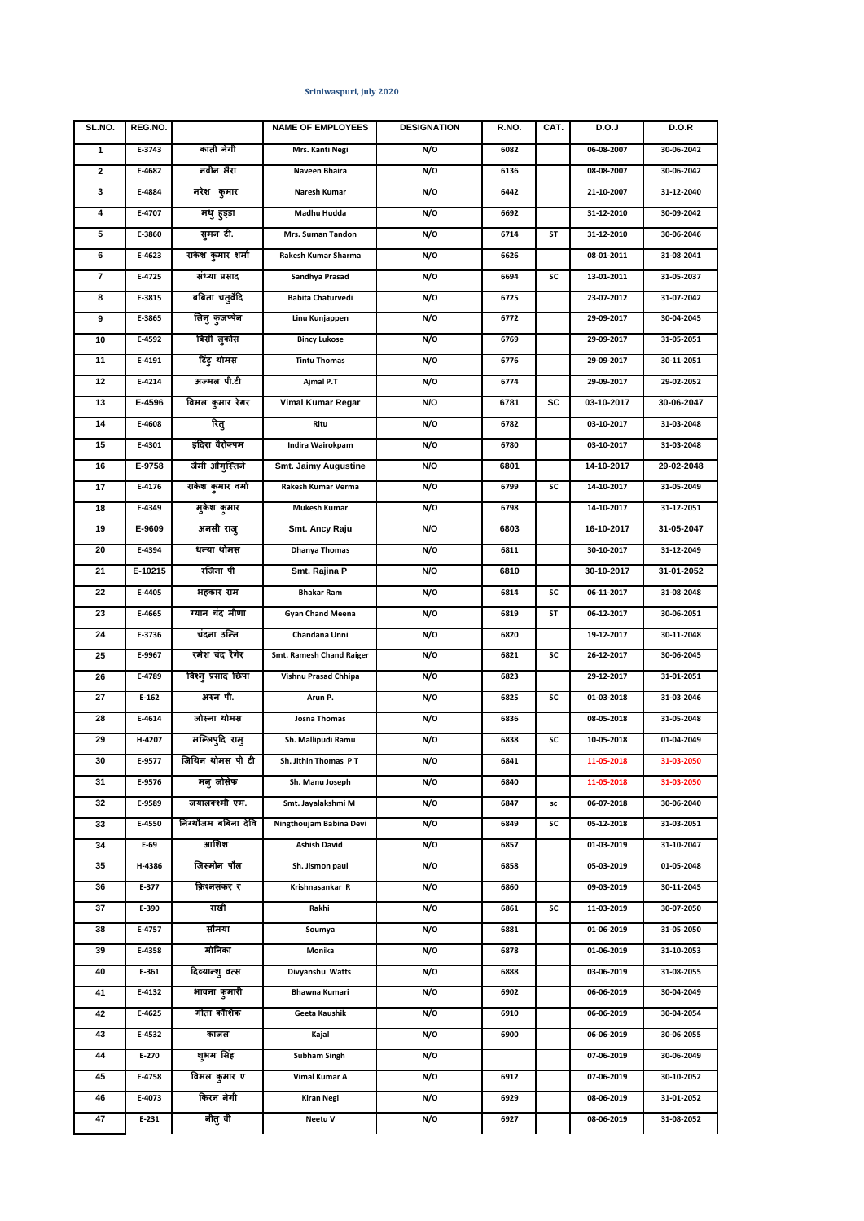| SL.NO. | REG.NO. |                      | <b>NAME OF EMPLOYEES</b>        | <b>DESIGNATION</b> | R.NO. | CAT. | D.O.J      | <b>D.O.R</b> |
|--------|---------|----------------------|---------------------------------|--------------------|-------|------|------------|--------------|
| 1      | E-3743  | कांती नेगी           | Mrs. Kanti Negi                 | N/O                | 6082  |      | 06-08-2007 | 30-06-2042   |
| 2      | E-4682  | नवीन भैरा            | Naveen Bhaira                   | N/O                | 6136  |      | 08-08-2007 | 30-06-2042   |
| 3      | E-4884  | नरेश कुमार           | Naresh Kumar                    | N/O                | 6442  |      | 21-10-2007 | 31-12-2040   |
| 4      | E-4707  | मधु हुड्डा           | Madhu Hudda                     | N/O                | 6692  |      | 31-12-2010 | 30-09-2042   |
| 5      | E-3860  | सुमन टी.             | Mrs. Suman Tandon               | N/O                | 6714  | SΤ   | 31-12-2010 | 30-06-2046   |
| 6      | E-4623  | राकेश कुमार शर्मा    | Rakesh Kumar Sharma             | N/O                | 6626  |      | 08-01-2011 | 31-08-2041   |
| 7      | E-4725  | संध्या प्रसाद        | Sandhya Prasad                  | N/O                | 6694  | SC   | 13-01-2011 | 31-05-2037   |
| 8      | E-3815  | बबिता चतुर्वेदि      | <b>Babita Chaturvedi</b>        | N/O                | 6725  |      | 23-07-2012 | 31-07-2042   |
| 9      | E-3865  | लिनु कुंजप्पेन       | Linu Kunjappen                  | N/O                | 6772  |      | 29-09-2017 | 30-04-2045   |
| 10     | E-4592  | बिंसी लुकोस          | <b>Bincy Lukose</b>             | N/O                | 6769  |      | 29-09-2017 | 31-05-2051   |
| 11     | E-4191  | टिंटु थोमस           | <b>Tintu Thomas</b>             | N/O                | 6776  |      | 29-09-2017 | 30-11-2051   |
| 12     | E-4214  | अज्मल पी.टी          | Ajmal P.T                       | N/O                | 6774  |      | 29-09-2017 | 29-02-2052   |
| 13     | E-4596  | विमल कुमार रेगर      | Vimal Kumar Regar               | N/O                | 6781  | SC   | 03-10-2017 | 30-06-2047   |
| 14     | E-4608  | रितु                 | Ritu                            | N/O                | 6782  |      | 03-10-2017 | 31-03-2048   |
| 15     | E-4301  | इंदिरा वैरोक्पम      | Indira Wairokpam                | N/O                | 6780  |      | 03-10-2017 | 31-03-2048   |
| 16     | E-9758  | जैमी औगुस्तिने       | <b>Smt. Jaimy Augustine</b>     | N/O                | 6801  |      | 14-10-2017 | 29-02-2048   |
| 17     | E-4176  | राकेश कुमार वर्मा    | Rakesh Kumar Verma              | N/O                | 6799  | SC   | 14-10-2017 | 31-05-2049   |
| 18     | E-4349  | मुकेश कुमार          | <b>Mukesh Kumar</b>             | N/O                | 6798  |      | 14-10-2017 | 31-12-2051   |
| 19     | E-9609  | अनसी राजु            | Smt. Ancy Raju                  | N/O                | 6803  |      | 16-10-2017 | 31-05-2047   |
| 20     | E-4394  | धन्या थोमस           | <b>Dhanya Thomas</b>            | N/O                | 6811  |      | 30-10-2017 | 31-12-2049   |
| 21     | E-10215 | रजिना पी             | Smt. Rajina P                   | N/O                | 6810  |      | 30-10-2017 | 31-01-2052   |
| 22     | E-4405  | भहकार राम            | <b>Bhakar Ram</b>               | N/O                | 6814  | SC   | 06-11-2017 | 31-08-2048   |
| 23     | E-4665  | ग्यान चंद मीणा       | <b>Gyan Chand Meena</b>         | N/O                | 6819  | SΤ   | 06-12-2017 | 30-06-2051   |
| 24     | E-3736  | चंदना उन्नि          | Chandana Unni                   | N/O                | 6820  |      | 19-12-2017 | 30-11-2048   |
| 25     | E-9967  | रमेश चंद रैगेर       | <b>Smt. Ramesh Chand Raiger</b> | N/O                | 6821  | SC   | 26-12-2017 | 30-06-2045   |
| 26     | E-4789  | विश्न् प्रसाद छिपा   | Vishnu Prasad Chhipa            | N/O                | 6823  |      | 29-12-2017 | 31-01-2051   |
| 27     | $E-162$ | अरुन पी.             | Arun P.                         | N/O                | 6825  | SC   | 01-03-2018 | 31-03-2046   |
| 28     | E-4614  | जोस्ना थोमस          | Josna Thomas                    | N/O                | 6836  |      | 08-05-2018 | 31-05-2048   |
| 29     | H-4207  | मल्लिपुदि रामु       | Sh. Mallipudi Ramu              | N/O                | 6838  | SC   | 10-05-2018 | 01-04-2049   |
| 30     | E-9577  | जिथिन थोमस पी टी     | Sh. Jithin Thomas PT            | N/O                | 6841  |      | 11-05-2018 | 31-03-2050   |
| 31     | E-9576  | मनु जोसेफ            | Sh. Manu Joseph                 | N/O                | 6840  |      | 11-05-2018 | 31-03-2050   |
| 32     | E-9589  | जयालक्श्मी एम.       | Smt. Jayalakshmi M              | N/O                | 6847  | sc   | 06-07-2018 | 30-06-2040   |
| 33     | E-4550  | निंग्थौजम बबिना देवि | Ningthoujam Babina Devi         | N/O                | 6849  | SC   | 05-12-2018 | 31-03-2051   |
| 34     | E-69    | आशिश                 | <b>Ashish David</b>             | N/O                | 6857  |      | 01-03-2019 | 31-10-2047   |
| 35     | H-4386  | जिस्मोन पौल          | Sh. Jismon paul                 | N/O                | 6858  |      | 05-03-2019 | 01-05-2048   |
| 36     | E-377   | क्रिश्नसंकर र        | Krishnasankar R                 | N/O                | 6860  |      | 09-03-2019 | 30-11-2045   |
| 37     | E-390   | राखी                 | Rakhi                           | N/O                | 6861  | SC   | 11-03-2019 | 30-07-2050   |
| 38     | E-4757  | सौमया                | Soumya                          | N/O                | 6881  |      | 01-06-2019 | 31-05-2050   |
| 39     | E-4358  | मोनिका               | Monika                          | N/O                | 6878  |      | 01-06-2019 | 31-10-2053   |
| 40     | E-361   | दिव्यान्शु वत्स      | Divyanshu Watts                 | N/O                | 6888  |      | 03-06-2019 | 31-08-2055   |
| 41     | E-4132  | भावना कुमारी         | Bhawna Kumari                   | N/O                | 6902  |      | 06-06-2019 | 30-04-2049   |
| 42     | E-4625  | गीता कौशिक           | Geeta Kaushik                   | N/O                | 6910  |      | 06-06-2019 | 30-04-2054   |
| 43     | E-4532  | काजल                 | Kajal                           | N/O                | 6900  |      | 06-06-2019 | 30-06-2055   |
| 44     | E-270   | शुभम सिंह            | <b>Subham Singh</b>             | N/O                |       |      | 07-06-2019 | 30-06-2049   |
| 45     | E-4758  | विमल कुमार ए         | Vimal Kumar A                   | N/O                | 6912  |      | 07-06-2019 | 30-10-2052   |
| 46     | E-4073  | किरन नेगी            | <b>Kiran Negi</b>               | N/O                | 6929  |      | 08-06-2019 | 31-01-2052   |
| 47     | E-231   | नीतु वी              | Neetu V                         | N/O                | 6927  |      | 08-06-2019 | 31-08-2052   |

## **Sriniwaspuri, july 2020**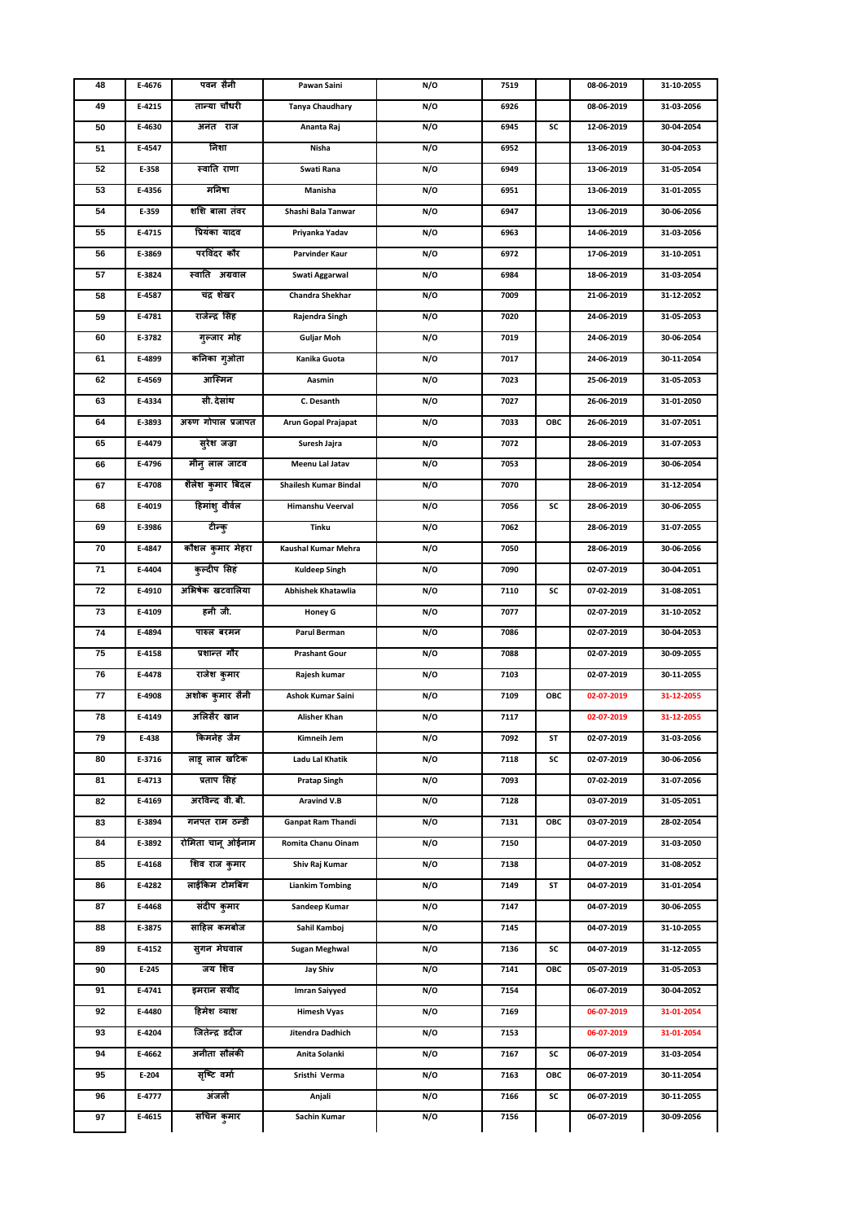| 48 | E-4676 | पवन सैनी           | Pawan Saini              | N/O | 7519 |     | 08-06-2019 | 31-10-2055 |
|----|--------|--------------------|--------------------------|-----|------|-----|------------|------------|
| 49 | E-4215 | तान्या चौधरी       | <b>Tanya Chaudhary</b>   | N/O | 6926 |     | 08-06-2019 | 31-03-2056 |
| 50 | E-4630 | अनंत राज           | Ananta Raj               | N/O | 6945 | SC  | 12-06-2019 | 30-04-2054 |
| 51 | E-4547 | निशा               | Nisha                    | N/O | 6952 |     | 13-06-2019 | 30-04-2053 |
| 52 | E-358  | स्वाति राणा        | Swati Rana               | N/O | 6949 |     | 13-06-2019 | 31-05-2054 |
| 53 | E-4356 | मनिषा              | Manisha                  | N/O | 6951 |     | 13-06-2019 | 31-01-2055 |
| 54 | E-359  | शशि बाला तंवर      | Shashi Bala Tanwar       | N/O | 6947 |     | 13-06-2019 | 30-06-2056 |
| 55 | E-4715 | प्रियंका यादव      | Priyanka Yadav           | N/O | 6963 |     | 14-06-2019 | 31-03-2056 |
| 56 | E-3869 | परविंदर कौर        | Parvinder Kaur           | N/O | 6972 |     | 17-06-2019 | 31-10-2051 |
| 57 | E-3824 | स्वाति अग्रवाल     | Swati Aggarwal           | N/O | 6984 |     | 18-06-2019 | 31-03-2054 |
| 58 | E-4587 | चंद्र शेखर         | <b>Chandra Shekhar</b>   | N/O | 7009 |     | 21-06-2019 | 31-12-2052 |
| 59 | E-4781 | राजेन्द्र सिंह     | Rajendra Singh           | N/O | 7020 |     | 24-06-2019 | 31-05-2053 |
| 60 | E-3782 | गुल्जार मोह        | Guljar Moh               | N/O | 7019 |     | 24-06-2019 | 30-06-2054 |
| 61 | E-4899 | कनिका गुओता        | Kanika Guota             | N/O | 7017 |     | 24-06-2019 | 30-11-2054 |
| 62 | E-4569 | आस्मिन             | Aasmin                   | N/O | 7023 |     | 25-06-2019 | 31-05-2053 |
| 63 | E-4334 | सी. देसांथ         | C. Desanth               | N/O | 7027 |     | 26-06-2019 | 31-01-2050 |
| 64 | E-3893 | अरुण गोपाल प्रजापत | Arun Gopal Prajapat      | N/O | 7033 | ОВС | 26-06-2019 | 31-07-2051 |
| 65 | E-4479 | सुरेश जज़ा         | Suresh Jajra             | N/O | 7072 |     | 28-06-2019 | 31-07-2053 |
| 66 | E-4796 | मीनु लाल जाटव      | Meenu Lal Jatav          | N/O | 7053 |     | 28-06-2019 | 30-06-2054 |
| 67 | E-4708 | शैलेश कुमार बिंदल  | Shailesh Kumar Bindal    | N/O | 7070 |     | 28-06-2019 | 31-12-2054 |
| 68 | E-4019 | हिमांशु वीर्वल     | Himanshu Veerval         | N/O | 7056 | SC  | 28-06-2019 | 30-06-2055 |
| 69 | E-3986 | टीन्कु             | Tinku                    | N/O | 7062 |     | 28-06-2019 | 31-07-2055 |
| 70 | E-4847 | कौशल कुमार मेहरा   | Kaushal Kumar Mehra      | N/O | 7050 |     | 28-06-2019 | 30-06-2056 |
| 71 | E-4404 | कुल्दीप सिहं       | <b>Kuldeep Singh</b>     | N/O | 7090 |     | 02-07-2019 | 30-04-2051 |
| 72 | E-4910 | अभिषेक खटवालिया    | Abhishek Khatawlia       | N/O | 7110 | SC  | 07-02-2019 | 31-08-2051 |
| 73 | E-4109 | हनी जी.            | Honey G                  | N/O | 7077 |     | 02-07-2019 | 31-10-2052 |
| 74 | E-4894 | पारुल बरमन         | Parul Berman             | N/O | 7086 |     | 02-07-2019 | 30-04-2053 |
| 75 | E-4158 | प्रशान्त गौर       | <b>Prashant Gour</b>     | N/O | 7088 |     | 02-07-2019 | 30-09-2055 |
| 76 | E-4478 | राजेश कुमार        | Rajesh kumar             | N/O | 7103 |     | 02-07-2019 | 30-11-2055 |
| 77 | E-4908 | अशोक कुमार सैनी    | Ashok Kumar Saini        | N/O | 7109 | OBC | 02-07-2019 | 31-12-2055 |
| 78 | E-4149 | अलिसैर खान         | Alisher Khan             | N/O | 7117 |     | 02-07-2019 | 31-12-2055 |
| 79 | E-438  | किमनेह जैम         | Kimneih Jem              | N/O | 7092 | ST  | 02-07-2019 | 31-03-2056 |
| 80 | E-3716 | लाडू लाल खटिक      | Ladu Lal Khatik          | N/O | 7118 | SC  | 02-07-2019 | 30-06-2056 |
| 81 | E-4713 | प्रताप सिंह        | <b>Pratap Singh</b>      | N/O | 7093 |     | 07-02-2019 | 31-07-2056 |
| 82 | E-4169 | अरविन्द वी. बी.    | Aravind V.B              | N/O | 7128 |     | 03-07-2019 | 31-05-2051 |
| 83 | E-3894 | गनपत राम ठन्डी     | <b>Ganpat Ram Thandi</b> | N/O | 7131 | OBC | 03-07-2019 | 28-02-2054 |
| 84 | E-3892 | रोमिता चानू ओईनाम  | Romita Chanu Oinam       | N/O | 7150 |     | 04-07-2019 | 31-03-2050 |
| 85 | E-4168 | शिव राज कुमार      | Shiv Raj Kumar           | N/O | 7138 |     | 04-07-2019 | 31-08-2052 |
| 86 | E-4282 | लाईकिम टोमबिंग     | <b>Liankim Tombing</b>   | N/O | 7149 | ST  | 04-07-2019 | 31-01-2054 |
| 87 | E-4468 | संदीप कुमार        | Sandeep Kumar            | N/O | 7147 |     | 04-07-2019 | 30-06-2055 |
| 88 | E-3875 | साहिल कमबोज        | Sahil Kamboj             | N/O | 7145 |     | 04-07-2019 | 31-10-2055 |
| 89 | E-4152 | सुगन मेघवाल        | Sugan Meghwal            | N/O | 7136 | SC  | 04-07-2019 | 31-12-2055 |
| 90 | E-245  | जय शिव             | Jay Shiv                 | N/O | 7141 | OBC | 05-07-2019 | 31-05-2053 |
| 91 | E-4741 | इमरान सयीद         | <b>Imran Saiyyed</b>     | N/O | 7154 |     | 06-07-2019 | 30-04-2052 |
| 92 | E-4480 | हिमेश व्याश        | Himesh Vyas              | N/O | 7169 |     | 06-07-2019 | 31-01-2054 |
| 93 | E-4204 | जितेन्द्र डदीज     | Jitendra Dadhich         | N/O | 7153 |     | 06-07-2019 | 31-01-2054 |
| 94 | E-4662 | अनीता सौलंकी       | Anita Solanki            | N/O | 7167 | SC  | 06-07-2019 | 31-03-2054 |
| 95 | E-204  | सृष्टि वर्मा       | Sristhi Verma            | N/O | 7163 | OBC | 06-07-2019 | 30-11-2054 |
| 96 | E-4777 | अंजली              | Anjali                   | N/O | 7166 | SC  | 06-07-2019 | 30-11-2055 |
| 97 | E-4615 | सचिन कुमार         | Sachin Kumar             | N/O | 7156 |     | 06-07-2019 | 30-09-2056 |
|    |        |                    |                          |     |      |     |            |            |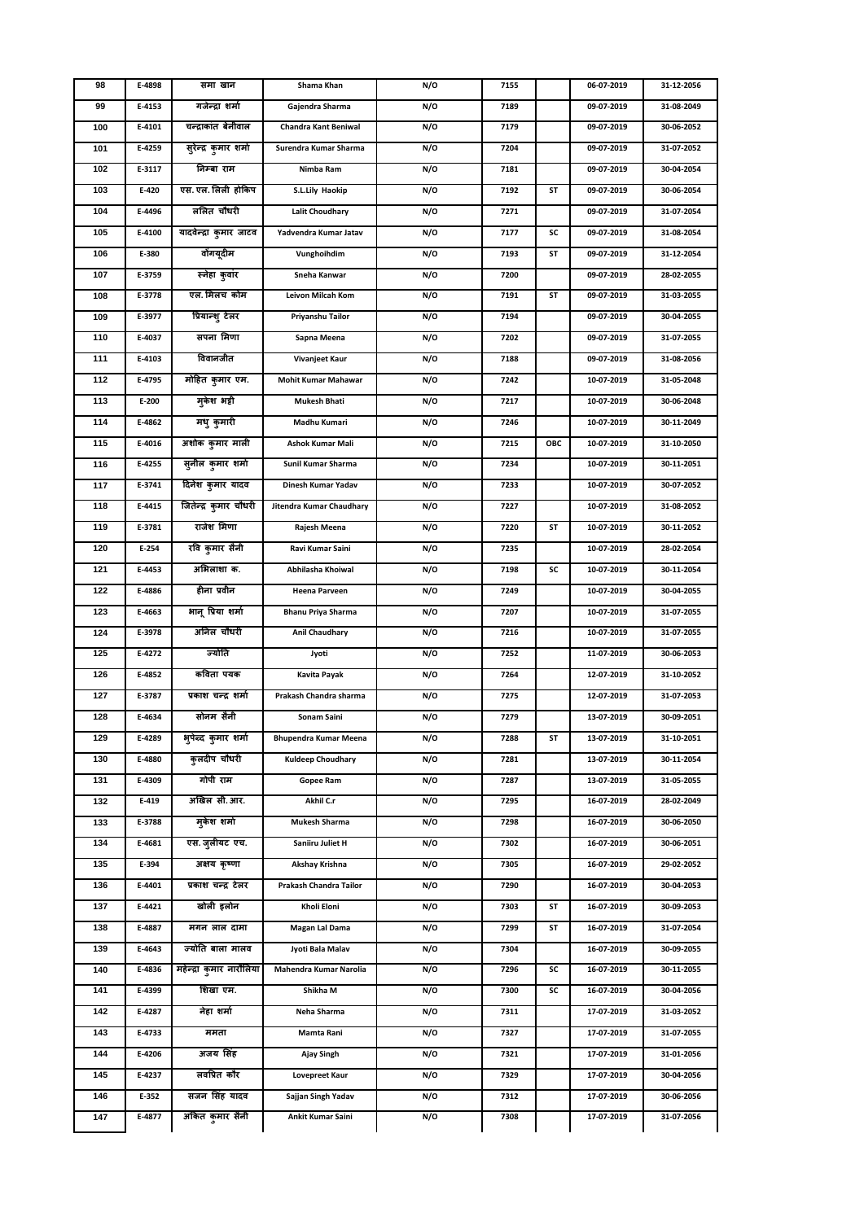| 98  | E-4898 | समा खान                  | Shama Khan                   | N/O | 7155 |     | 06-07-2019 | 31-12-2056 |
|-----|--------|--------------------------|------------------------------|-----|------|-----|------------|------------|
| 99  | E-4153 | गजेन्द्रा शर्मा          | Gajendra Sharma              | N/O | 7189 |     | 09-07-2019 | 31-08-2049 |
| 100 | E-4101 | चन्द्राकांत बेनीवाल      | Chandra Kant Beniwal         | N/O | 7179 |     | 09-07-2019 | 30-06-2052 |
| 101 | E-4259 | सुरेन्द्र कुमार शर्मा    | Surendra Kumar Sharma        | N/O | 7204 |     | 09-07-2019 | 31-07-2052 |
| 102 | E-3117 | निम्बा राम               | Nimba Ram                    | N/O | 7181 |     | 09-07-2019 | 30-04-2054 |
| 103 | E-420  | एस. एल. लिली होकिप       | S.L.Lily Haokip              | N/O | 7192 | ST  | 09-07-2019 | 30-06-2054 |
| 104 | E-4496 | ललित चौधरी               | <b>Lalit Choudhary</b>       | N/O | 7271 |     | 09-07-2019 | 31-07-2054 |
| 105 | E-4100 | यादवेन्द्रा कुमार जाटव   | Yadvendra Kumar Jatav        | N/O | 7177 | SC  | 09-07-2019 | 31-08-2054 |
| 106 | E-380  | वोंगयूदीम                | Vunghoihdim                  | N/O | 7193 | ST  | 09-07-2019 | 31-12-2054 |
| 107 | E-3759 | स्नेहा कुवांर            | Sneha Kanwar                 | N/O | 7200 |     | 09-07-2019 | 28-02-2055 |
| 108 | E-3778 | एल. मिलच कोम             | Leivon Milcah Kom            | N/O | 7191 | ST  | 09-07-2019 | 31-03-2055 |
| 109 | E-3977 | प्रियान्शु टेलर          | Priyanshu Tailor             | N/O | 7194 |     | 09-07-2019 | 30-04-2055 |
| 110 | E-4037 | सपना मिणा                | Sapna Meena                  | N/O | 7202 |     | 09-07-2019 | 31-07-2055 |
| 111 | E-4103 | विवानजीत                 | Vivanjeet Kaur               | N/O | 7188 |     | 09-07-2019 | 31-08-2056 |
| 112 | E-4795 | मोहित कुमार एम.          | <b>Mohit Kumar Mahawar</b>   | N/O | 7242 |     | 10-07-2019 | 31-05-2048 |
| 113 | E-200  | मुकेश भट्टी              | <b>Mukesh Bhati</b>          | N/O | 7217 |     | 10-07-2019 | 30-06-2048 |
| 114 | E-4862 | मधु कुमारी               | Madhu Kumari                 | N/O | 7246 |     | 10-07-2019 | 30-11-2049 |
| 115 | E-4016 | अशोक कुमार माली          | <b>Ashok Kumar Mali</b>      | N/O | 7215 | ОВС | 10-07-2019 | 31-10-2050 |
| 116 | E-4255 | सुनील कुमार शर्मा        | Sunil Kumar Sharma           | N/O | 7234 |     | 10-07-2019 | 30-11-2051 |
| 117 | E-3741 | दिनेश कुमार यादव         | Dinesh Kumar Yadav           | N/O | 7233 |     | 10-07-2019 | 30-07-2052 |
| 118 | E-4415 | जितेन्द्र कुमार चौधरी    | Jitendra Kumar Chaudhary     | N/O | 7227 |     | 10-07-2019 | 31-08-2052 |
| 119 | E-3781 | राजेश मिणा               | Rajesh Meena                 | N/O | 7220 | ST  | 10-07-2019 | 30-11-2052 |
| 120 | E-254  | रवि कुमार सैनी           | Ravi Kumar Saini             | N/O | 7235 |     | 10-07-2019 | 28-02-2054 |
| 121 | E-4453 | अभिलाशा क.               | Abhilasha Khoiwal            | N/O | 7198 | SC  | 10-07-2019 | 30-11-2054 |
| 122 | E-4886 | हीना प्रवीन              | <b>Heena Parveen</b>         | N/O | 7249 |     | 10-07-2019 | 30-04-2055 |
| 123 | E-4663 | भानू प्रिया शर्मा        | <b>Bhanu Priya Sharma</b>    | N/O | 7207 |     | 10-07-2019 | 31-07-2055 |
| 124 | E-3978 | अनिल चौधरी               | <b>Anil Chaudhary</b>        | N/O | 7216 |     | 10-07-2019 | 31-07-2055 |
| 125 | E-4272 | ज्योति                   | Jyoti                        | N/O | 7252 |     | 11-07-2019 | 30-06-2053 |
| 126 | E-4852 | कविता पयक                | Kavita Payak                 | N/O | 7264 |     | 12-07-2019 | 31-10-2052 |
| 127 | E-3787 | प्रकाश चन्द्र शर्मा      | Prakash Chandra sharma       | N/O | 7275 |     | 12-07-2019 | 31-07-2053 |
| 128 | E-4634 | सोनम सैनी                | Sonam Saini                  | N/O | 7279 |     | 13-07-2019 | 30-09-2051 |
| 129 | E-4289 | भुपेन्द कुमार शर्मा      | <b>Bhupendra Kumar Meena</b> | N/O | 7288 | ST  | 13-07-2019 | 31-10-2051 |
| 130 | E-4880 | कुलदीप चौधरी             | <b>Kuldeep Choudhary</b>     | N/O | 7281 |     | 13-07-2019 | 30-11-2054 |
| 131 | E-4309 | गोपी राम                 | Gopee Ram                    | N/O | 7287 |     | 13-07-2019 | 31-05-2055 |
| 132 | E-419  | अखिल सी.आर.              | Akhil C.r                    | N/O | 7295 |     | 16-07-2019 | 28-02-2049 |
| 133 | E-3788 | मुकेश शर्मा              | <b>Mukesh Sharma</b>         | N/O | 7298 |     | 16-07-2019 | 30-06-2050 |
| 134 | E-4681 | एस. जुलीयट एच.           | Saniiru Juliet H             | N/O | 7302 |     | 16-07-2019 | 30-06-2051 |
| 135 | E-394  | अक्षय कृष्णा             | Akshay Krishna               | N/O | 7305 |     | 16-07-2019 | 29-02-2052 |
| 136 | E-4401 | प्रकाश चन्द्र टेलर       | Prakash Chandra Tailor       | N/O | 7290 |     | 16-07-2019 | 30-04-2053 |
| 137 | E-4421 | खोली इलोन                | Kholi Eloni                  | N/O | 7303 | ST  | 16-07-2019 | 30-09-2053 |
| 138 | E-4887 | मगन लाल दामा             | Magan Lal Dama               | N/O | 7299 | ST  | 16-07-2019 | 31-07-2054 |
| 139 | E-4643 | ज्योति बाला मालव         | Jyoti Bala Malav             | N/O | 7304 |     | 16-07-2019 | 30-09-2055 |
| 140 | E-4836 | महेन्द्रा कुमार नारौलिया | Mahendra Kumar Narolia       | N/O | 7296 | SC  | 16-07-2019 | 30-11-2055 |
| 141 | E-4399 | शिखा एम.                 | Shikha M                     | N/O | 7300 | SC  | 16-07-2019 | 30-04-2056 |
| 142 | E-4287 | नेहा शर्मा               | Neha Sharma                  | N/O | 7311 |     | 17-07-2019 | 31-03-2052 |
| 143 | E-4733 | ममता                     | Mamta Rani                   | N/O | 7327 |     | 17-07-2019 | 31-07-2055 |
| 144 | E-4206 | अजय सिंह                 | Ajay Singh                   | N/O | 7321 |     | 17-07-2019 | 31-01-2056 |
| 145 | E-4237 | लवप्रित कौर              | <b>Lovepreet Kaur</b>        | N/O | 7329 |     | 17-07-2019 | 30-04-2056 |
| 146 | E-352  | सजन सिंह यादव            | Sajjan Singh Yadav           | N/O | 7312 |     | 17-07-2019 | 30-06-2056 |
| 147 | E-4877 | अंकित कुमार सैनी         | Ankit Kumar Saini            | N/O | 7308 |     | 17-07-2019 | 31-07-2056 |
|     |        |                          |                              |     |      |     |            |            |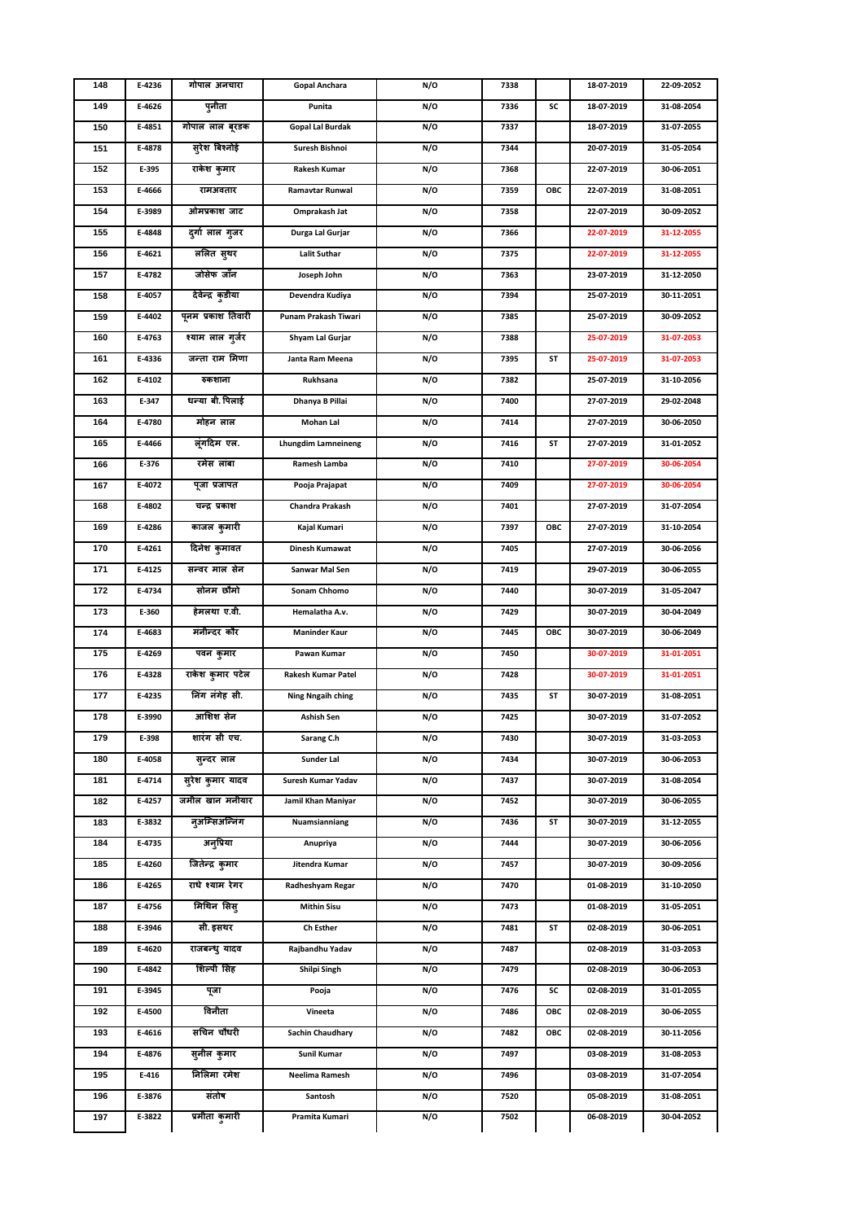| 148 | E-4236 | गोपाल अनचारा       | Gopal Anchara              | N/O | 7338 |     | 18-07-2019 | 22-09-2052 |
|-----|--------|--------------------|----------------------------|-----|------|-----|------------|------------|
| 149 | E-4626 | पुनीता             | Punita                     | N/O | 7336 | SC  | 18-07-2019 | 31-08-2054 |
| 150 | E-4851 | गोपाल लाल बूरडक    | <b>Gopal Lal Burdak</b>    | N/O | 7337 |     | 18-07-2019 | 31-07-2055 |
| 151 | E-4878 | सुरेश बिश्नोई      | Suresh Bishnoi             | N/O | 7344 |     | 20-07-2019 | 31-05-2054 |
| 152 | E-395  | राकेश कुमार        | Rakesh Kumar               | N/O | 7368 |     | 22-07-2019 | 30-06-2051 |
| 153 | E-4666 | रामअवतार           | Ramavtar Runwal            | N/O | 7359 | ОВС | 22-07-2019 | 31-08-2051 |
| 154 | E-3989 | ओमप्रकाश जाट       | Omprakash Jat              | N/O | 7358 |     | 22-07-2019 | 30-09-2052 |
| 155 | E-4848 | दुर्गा लाल गुजर    | Durga Lal Gurjar           | N/O | 7366 |     | 22-07-2019 | 31-12-2055 |
| 156 | E-4621 | ललित सुथर          | <b>Lalit Suthar</b>        | N/O | 7375 |     | 22-07-2019 | 31-12-2055 |
| 157 | E-4782 | जोसेफ जाँन         | Joseph John                | N/O | 7363 |     | 23-07-2019 | 31-12-2050 |
| 158 | E-4057 | देवेन्द्र कुडीया   | Devendra Kudiya            | N/O | 7394 |     | 25-07-2019 | 30-11-2051 |
| 159 | E-4402 | पूनम प्रकाश तिवारी | Punam Prakash Tiwari       | N/O | 7385 |     | 25-07-2019 | 30-09-2052 |
| 160 | E-4763 | श्याम लाल गुर्जर   | Shyam Lal Gurjar           | N/O | 7388 |     | 25-07-2019 | 31-07-2053 |
| 161 | E-4336 | जन्ता राम मिणा     | Janta Ram Meena            | N/O | 7395 | SΤ  | 25-07-2019 | 31-07-2053 |
| 162 | E-4102 | रुकशाना            | Rukhsana                   | N/O | 7382 |     | 25-07-2019 | 31-10-2056 |
| 163 | E-347  | धन्या बी. पिलाई    | Dhanya B Pillai            | N/O | 7400 |     | 27-07-2019 | 29-02-2048 |
| 164 | E-4780 | मोहन लाल           | Mohan Lal                  | N/O | 7414 |     | 27-07-2019 | 30-06-2050 |
| 165 | E-4466 | लूंगदिम एल.        | <b>Lhungdim Lamneineng</b> | N/O | 7416 | ST  | 27-07-2019 | 31-01-2052 |
| 166 | E-376  | रमेस लांबा         | Ramesh Lamba               | N/O | 7410 |     | 27-07-2019 | 30-06-2054 |
| 167 | E-4072 | पुजा प्रजापत       | Pooja Prajapat             | N/O | 7409 |     | 27-07-2019 | 30-06-2054 |
| 168 | E-4802 | चन्द्र प्रकाश      | Chandra Prakash            | N/O | 7401 |     | 27-07-2019 | 31-07-2054 |
| 169 | E-4286 | काजल कुमारी        | Kajal Kumari               | N/O | 7397 | OBC | 27-07-2019 | 31-10-2054 |
| 170 | E-4261 | दिनेश कुमावत       | Dinesh Kumawat             | N/O | 7405 |     | 27-07-2019 | 30-06-2056 |
| 171 | E-4125 | सन्वर माल सेन      | Sanwar Mal Sen             | N/O | 7419 |     | 29-07-2019 | 30-06-2055 |
| 172 | E-4734 | सोनम छौमो          | Sonam Chhomo               | N/O | 7440 |     | 30-07-2019 | 31-05-2047 |
| 173 | E-360  | हेमलथा ए.वी.       | Hemalatha A.v.             | N/O | 7429 |     | 30-07-2019 | 30-04-2049 |
| 174 | E-4683 | मंनीन्दर कौर       | <b>Maninder Kaur</b>       | N/O | 7445 | OBC | 30-07-2019 | 30-06-2049 |
| 175 | E-4269 | पवन कुमार          | Pawan Kumar                | N/O | 7450 |     | 30-07-2019 | 31-01-2051 |
| 176 | E-4328 | राकेश कुमार पटेल   | Rakesh Kumar Patel         | N/O | 7428 |     | 30-07-2019 | 31-01-2051 |
| 177 | E-4235 | निंग नंगेह सी.     | <b>Ning Nngaih ching</b>   | N/O | 7435 | ST  | 30-07-2019 | 31-08-2051 |
| 178 | E-3990 | आशिश सेन           | Ashish Sen                 | N/O | 7425 |     | 30-07-2019 | 31-07-2052 |
| 179 | E-398  | शारंग सी एच.       | Sarang C.h                 | N/O | 7430 |     | 30-07-2019 | 31-03-2053 |
| 180 | E-4058 | सुन्दर लाल         | Sunder Lal                 | N/O | 7434 |     | 30-07-2019 | 30-06-2053 |
| 181 | E-4714 | सुरेश कुमार यादव   | Suresh Kumar Yadav         | N/O | 7437 |     | 30-07-2019 | 31-08-2054 |
| 182 | E-4257 | जमील खान मनीयार    | Jamil Khan Maniyar         | N/O | 7452 |     | 30-07-2019 | 30-06-2055 |
| 183 | E-3832 | नुअम्सिअन्निंग     | Nuamsianniang              | N/O | 7436 | ST  | 30-07-2019 | 31-12-2055 |
| 184 | E-4735 | अनुप्रिया          | Anupriya                   | N/O | 7444 |     | 30-07-2019 | 30-06-2056 |
| 185 | E-4260 | जितेन्द्र कुमार    | Jitendra Kumar             | N/O | 7457 |     | 30-07-2019 | 30-09-2056 |
| 186 | E-4265 | राधे श्याम रेगर    | Radheshyam Regar           | N/O | 7470 |     | 01-08-2019 | 31-10-2050 |
| 187 | E-4756 | मिथिन सिस्         | <b>Mithin Sisu</b>         | N/O | 7473 |     | 01-08-2019 | 31-05-2051 |
| 188 | E-3946 | सी. इसथर           | <b>Ch Esther</b>           | N/O | 7481 | ST  | 02-08-2019 | 30-06-2051 |
| 189 | E-4620 | राजबन्ध् यादव      | Rajbandhu Yadav            | N/O | 7487 |     | 02-08-2019 | 31-03-2053 |
| 190 | E-4842 | शिल्पी सिंह        | Shilpi Singh               | N/O | 7479 |     | 02-08-2019 | 30-06-2053 |
| 191 | E-3945 | पूजा               | Pooja                      | N/O | 7476 | SC  | 02-08-2019 | 31-01-2055 |
| 192 | E-4500 | विनीता             | Vineeta                    | N/O | 7486 | OBC | 02-08-2019 | 30-06-2055 |
| 193 | E-4616 | सचिन चौधरी         | <b>Sachin Chaudhary</b>    | N/O | 7482 | OBC | 02-08-2019 | 30-11-2056 |
| 194 | E-4876 | सुनील कुमार        | Sunil Kumar                | N/O | 7497 |     | 03-08-2019 | 31-08-2053 |
| 195 | E-416  | निलिमा रमेश        | Neelima Ramesh             | N/O | 7496 |     | 03-08-2019 | 31-07-2054 |
| 196 | E-3876 | संतोष              | Santosh                    | N/O | 7520 |     | 05-08-2019 | 31-08-2051 |
| 197 | E-3822 | प्रमीता कुमारी     | Pramita Kumari             | N/O | 7502 |     | 06-08-2019 | 30-04-2052 |
|     |        |                    |                            |     |      |     |            |            |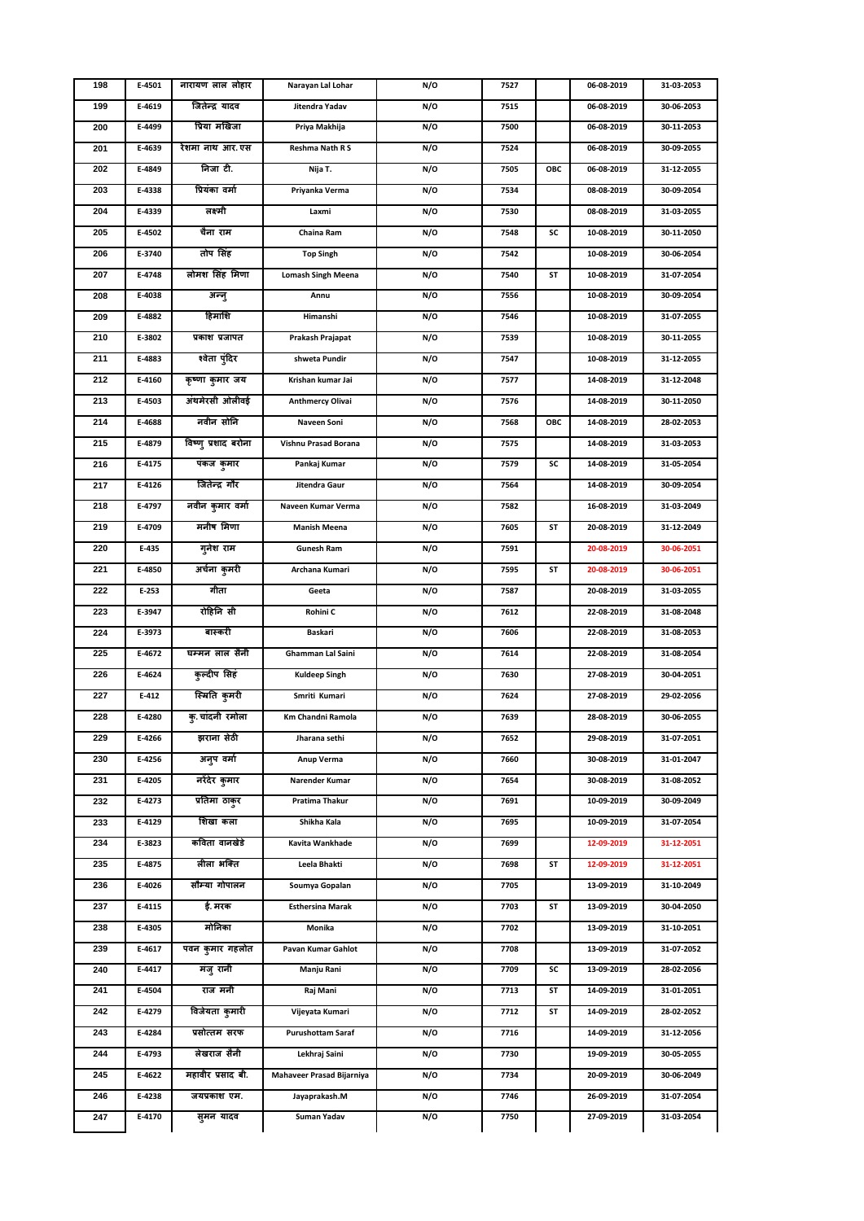| 198 | E-4501 | नारायण लाल लोहार    | Narayan Lal Lohar         | N/O | 7527 |     | 06-08-2019 | 31-03-2053 |
|-----|--------|---------------------|---------------------------|-----|------|-----|------------|------------|
| 199 | E-4619 | जितेन्द्र यादव      | Jitendra Yadav            | N/O | 7515 |     | 06-08-2019 | 30-06-2053 |
| 200 | E-4499 | प्रिया मखिजा        | Priya Makhija             | N/O | 7500 |     | 06-08-2019 | 30-11-2053 |
| 201 | E-4639 | रेशमा नाथ आर.एस     | Reshma Nath R S           | N/O | 7524 |     | 06-08-2019 | 30-09-2055 |
| 202 | E-4849 | निजा टी.            | Nija T.                   | N/O | 7505 | ОВС | 06-08-2019 | 31-12-2055 |
| 203 | E-4338 | प्रियंका वर्मा      | Priyanka Verma            | N/O | 7534 |     | 08-08-2019 | 30-09-2054 |
| 204 | E-4339 | लक्ष्मी             | Laxmi                     | N/O | 7530 |     | 08-08-2019 | 31-03-2055 |
| 205 | E-4502 | चैना राम            | Chaina Ram                | N/O | 7548 | SC  | 10-08-2019 | 30-11-2050 |
| 206 | E-3740 | तोप सिंह            | <b>Top Singh</b>          | N/O | 7542 |     | 10-08-2019 | 30-06-2054 |
| 207 | E-4748 | लोमश सिंह मिणा      | <b>Lomash Singh Meena</b> | N/O | 7540 | SΤ  | 10-08-2019 | 31-07-2054 |
| 208 | E-4038 | अन्नु               | Annu                      | N/O | 7556 |     | 10-08-2019 | 30-09-2054 |
| 209 | E-4882 | हिमांशि             | Himanshi                  | N/O | 7546 |     | 10-08-2019 | 31-07-2055 |
| 210 | E-3802 | प्रकाश प्रजापत      | Prakash Prajapat          | N/O | 7539 |     | 10-08-2019 | 30-11-2055 |
| 211 | E-4883 | श्वेता पुंदिर       | shweta Pundir             | N/O | 7547 |     | 10-08-2019 | 31-12-2055 |
| 212 | E-4160 | कृष्णा कुमार जय     | Krishan kumar Jai         | N/O | 7577 |     | 14-08-2019 | 31-12-2048 |
| 213 | E-4503 | अंथमेरसी ओलीवई      | <b>Anthmercy Olivai</b>   | N/O | 7576 |     | 14-08-2019 | 30-11-2050 |
| 214 | E-4688 | नवीन सोनि           | Naveen Soni               | N/O | 7568 | ОВС | 14-08-2019 | 28-02-2053 |
| 215 | E-4879 | विष्णु प्रशाद बरोना | Vishnu Prasad Borana      | N/O | 7575 |     | 14-08-2019 | 31-03-2053 |
| 216 | E-4175 | पंकज कुमार          | Pankaj Kumar              | N/O | 7579 | SC  | 14-08-2019 | 31-05-2054 |
| 217 | E-4126 | जितेन्द्र गौर       | Jitendra Gaur             | N/O | 7564 |     | 14-08-2019 | 30-09-2054 |
| 218 | E-4797 | नवीन कुमार वर्मा    | Naveen Kumar Verma        | N/O | 7582 |     | 16-08-2019 | 31-03-2049 |
| 219 | E-4709 | मनीष मिणा           | <b>Manish Meena</b>       | N/O | 7605 | SΤ  | 20-08-2019 | 31-12-2049 |
| 220 | E-435  | गुनेश राम           | <b>Gunesh Ram</b>         | N/O | 7591 |     | 20-08-2019 | 30-06-2051 |
| 221 | E-4850 | अर्चना कुमरी        | Archana Kumari            | N/O | 7595 | SΤ  | 20-08-2019 | 30-06-2051 |
| 222 | E-253  | गीता                | Geeta                     | N/O | 7587 |     | 20-08-2019 | 31-03-2055 |
| 223 | E-3947 | रोहिनि सी           | Rohini C                  | N/O | 7612 |     | 22-08-2019 | 31-08-2048 |
| 224 | E-3973 | बास्करी             | Baskari                   | N/O | 7606 |     | 22-08-2019 | 31-08-2053 |
| 225 | E-4672 | घम्मन लाल सैनी      | Ghamman Lal Saini         | N/O | 7614 |     | 22-08-2019 | 31-08-2054 |
| 226 | E-4624 | कुल्दीप सिंह        | <b>Kuldeep Singh</b>      | N/O | 7630 |     | 27-08-2019 | 30-04-2051 |
| 227 | E-412  | स्मिति कुमरी        | Smriti Kumari             | N/O | 7624 |     | 27-08-2019 | 29-02-2056 |
| 228 | E-4280 | क् चांदनी रमोला     | Km Chandni Ramola         | N/O | 7639 |     | 28-08-2019 | 30-06-2055 |
| 229 | E-4266 | झराना सेठी          | Jharana sethi             | N/O | 7652 |     | 29-08-2019 | 31-07-2051 |
| 230 | E-4256 | अनुप वर्मा          | Anup Verma                | N/O | 7660 |     | 30-08-2019 | 31-01-2047 |
| 231 | E-4205 | नरेंदेर कुमार       | Narender Kumar            | N/O | 7654 |     | 30-08-2019 | 31-08-2052 |
| 232 | E-4273 | प्रतिमा ठाकुर       | Pratima Thakur            | N/O | 7691 |     | 10-09-2019 | 30-09-2049 |
| 233 | E-4129 | शिखा कला            | Shikha Kala               | N/O | 7695 |     | 10-09-2019 | 31-07-2054 |
| 234 | E-3823 | कविता वानखेडे       | Kavita Wankhade           | N/O | 7699 |     | 12-09-2019 | 31-12-2051 |
| 235 | E-4875 | लीला भक्ति          | Leela Bhakti              | N/O | 7698 | ST  | 12-09-2019 | 31-12-2051 |
| 236 | E-4026 | सौम्या गोपालन       | Soumya Gopalan            | N/O | 7705 |     | 13-09-2019 | 31-10-2049 |
| 237 | E-4115 | ई. मरक              | <b>Esthersina Marak</b>   | N/O | 7703 | ST  | 13-09-2019 | 30-04-2050 |
| 238 | E-4305 | मोनिका              | Monika                    | N/O | 7702 |     | 13-09-2019 | 31-10-2051 |
| 239 | E-4617 | पवन कुमार गहलोत     | Pavan Kumar Gahlot        | N/O | 7708 |     | 13-09-2019 | 31-07-2052 |
| 240 | E-4417 | मंजू रानी           | Manju Rani                | N/O | 7709 | SC  | 13-09-2019 | 28-02-2056 |
| 241 | E-4504 | राज मनी             | Raj Mani                  | N/O | 7713 | ST  | 14-09-2019 | 31-01-2051 |
| 242 | E-4279 | विजेयता कुमारी      | Vijeyata Kumari           | N/O | 7712 | ST  | 14-09-2019 | 28-02-2052 |
| 243 | E-4284 | प्रसोत्तम सरफ       | Purushottam Saraf         | N/O | 7716 |     | 14-09-2019 | 31-12-2056 |
| 244 | E-4793 | लेखराज सैनी         | Lekhraj Saini             | N/O | 7730 |     | 19-09-2019 | 30-05-2055 |
| 245 | E-4622 | महावीर प्रसाद बी.   | Mahaveer Prasad Bijarniya | N/O | 7734 |     | 20-09-2019 | 30-06-2049 |
| 246 | E-4238 | जयप्रकाश एम.        | Jayaprakash.M             | N/O | 7746 |     | 26-09-2019 | 31-07-2054 |
| 247 | E-4170 | सुमन यादव           | Suman Yadav               | N/O | 7750 |     | 27-09-2019 | 31-03-2054 |
|     |        |                     |                           |     |      |     |            |            |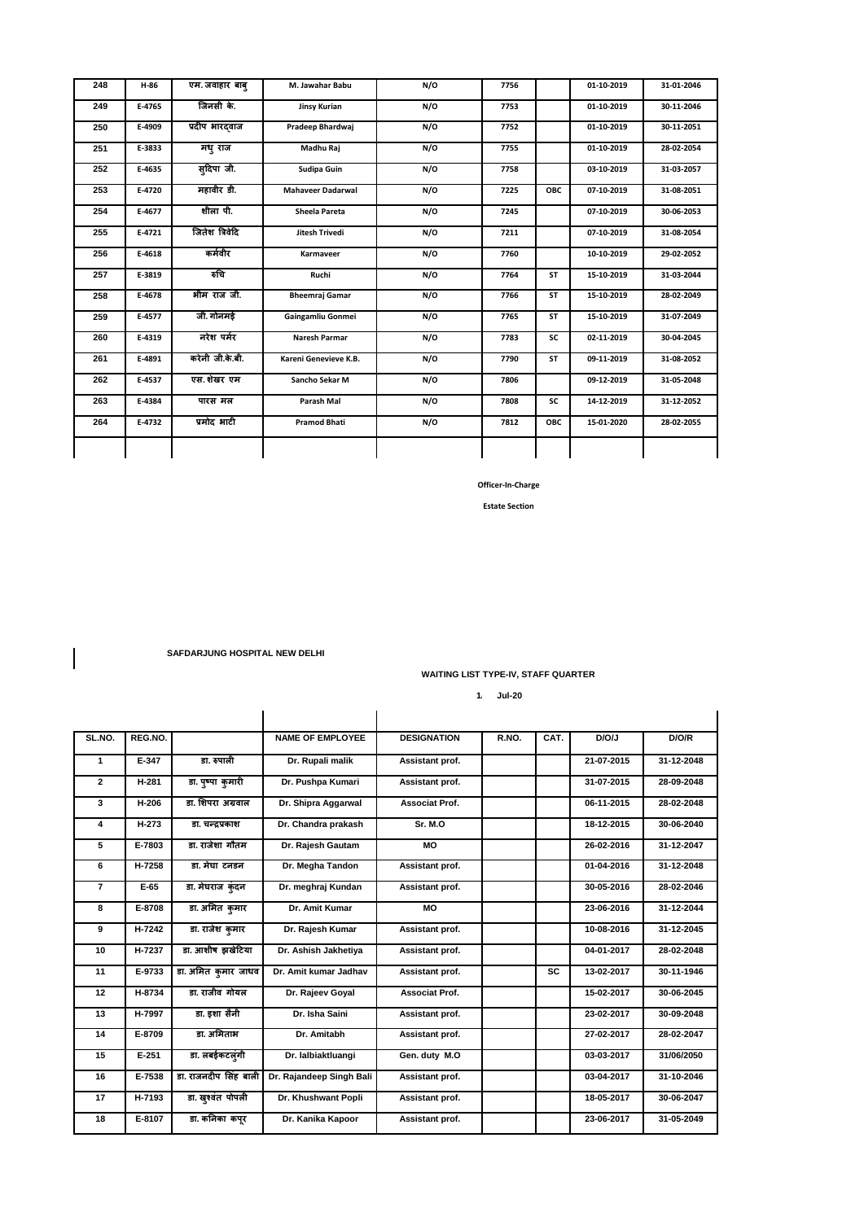| 248 | $H-86$ | एम. जवाहार बाब्    | M. Jawahar Babu          | N/O | 7756 |           | 01-10-2019 | 31-01-2046 |
|-----|--------|--------------------|--------------------------|-----|------|-----------|------------|------------|
| 249 | E-4765 | जिनसी के.          | <b>Jinsy Kurian</b>      | N/O | 7753 |           | 01-10-2019 | 30-11-2046 |
| 250 | E-4909 | प्रदीप भारदवाज     | Pradeep Bhardwaj         | N/O | 7752 |           | 01-10-2019 | 30-11-2051 |
| 251 | E-3833 | मधुराज             | Madhu Raj                | N/O | 7755 |           | 01-10-2019 | 28-02-2054 |
| 252 | E-4635 | स् <b>दिपा</b> जी. | Sudipa Guin              | N/O | 7758 |           | 03-10-2019 | 31-03-2057 |
| 253 | E-4720 | महावीर डी.         | <b>Mahaveer Dadarwal</b> | N/O | 7225 | OBC       | 07-10-2019 | 31-08-2051 |
| 254 | E-4677 | शीला पी.           | <b>Sheela Pareta</b>     | N/O | 7245 |           | 07-10-2019 | 30-06-2053 |
| 255 | E-4721 | जितेश त्रिवेदि     | Jitesh Trivedi           | N/O | 7211 |           | 07-10-2019 | 31-08-2054 |
| 256 | E-4618 | कर्मवीर            | Karmaveer                | N/O | 7760 |           | 10-10-2019 | 29-02-2052 |
| 257 | E-3819 | रुचि               | Ruchi                    | N/O | 7764 | <b>ST</b> | 15-10-2019 | 31-03-2044 |
| 258 | E-4678 | भीम राज जी.        | <b>Bheemraj Gamar</b>    | N/O | 7766 | <b>ST</b> | 15-10-2019 | 28-02-2049 |
| 259 | E-4577 | जी. गोनमई          | Gaingamliu Gonmei        | N/O | 7765 | <b>ST</b> | 15-10-2019 | 31-07-2049 |
| 260 | E-4319 | नरेश पर्मर         | Naresh Parmar            | N/O | 7783 | SC        | 02-11-2019 | 30-04-2045 |
| 261 | E-4891 | करेनी जी.के.बी.    | Kareni Genevieve K.B.    | N/O | 7790 | ST        | 09-11-2019 | 31-08-2052 |
| 262 | E-4537 | एस. शेखर एम        | Sancho Sekar M           | N/O | 7806 |           | 09-12-2019 | 31-05-2048 |
| 263 | E-4384 | पारस मल            | Parash Mal               | N/O | 7808 | SC        | 14-12-2019 | 31-12-2052 |
| 264 | E-4732 | प्रमोद भाटी        | <b>Pramod Bhati</b>      | N/O | 7812 | OBC       | 15-01-2020 | 28-02-2055 |
|     |        |                    |                          |     |      |           |            |            |

**Estate Section** 

 **SAFDARJUNG HOSPITAL NEW DELHI** 

**WAITING LIST TYPE-IV, STAFF QUARTER** 

 **1/1/2020 Jul-20**

| SL.NO.         | REG.NO.      |                       | <b>NAME OF EMPLOYEE</b>  | <b>DESIGNATION</b>    | R.NO. | CAT.      | D/O/J      | D/O/R      |
|----------------|--------------|-----------------------|--------------------------|-----------------------|-------|-----------|------------|------------|
| 1              | E-347        | डा. रुपाली            | Dr. Rupali malik         | Assistant prof.       |       |           | 21-07-2015 | 31-12-2048 |
| $\overline{2}$ | <b>H-281</b> | डा. पुष्पा कुमारी     | Dr. Pushpa Kumari        | Assistant prof.       |       |           | 31-07-2015 | 28-09-2048 |
| 3              | H-206        | डा. शिपरा अग्रवाल     | Dr. Shipra Aggarwal      | Associat Prof.        |       |           | 06-11-2015 | 28-02-2048 |
| 4              | H-273        | डा. चन्द्रप्रकाश      | Dr. Chandra prakash      | Sr. M.O               |       |           | 18-12-2015 | 30-06-2040 |
| 5              | E-7803       | डा. राजेशा गौतम       | Dr. Rajesh Gautam        | <b>MO</b>             |       |           | 26-02-2016 | 31-12-2047 |
| 6              | H-7258       | डा. मेघा टनडन         | Dr. Megha Tandon         | Assistant prof.       |       |           | 01-04-2016 | 31-12-2048 |
| $\overline{7}$ | $E-65$       | डा. मेघराज कुंदन      | Dr. meghraj Kundan       | Assistant prof.       |       |           | 30-05-2016 | 28-02-2046 |
| 8              | E-8708       | डा. अमित कमार         | Dr. Amit Kumar           | <b>MO</b>             |       |           | 23-06-2016 | 31-12-2044 |
| 9              | $H-7242$     | डा. राजेश कमार        | Dr. Rajesh Kumar         | Assistant prof.       |       |           | 10-08-2016 | 31-12-2045 |
| 10             | H-7237       | डा. आशीष झखेटिया      | Dr. Ashish Jakhetiya     | Assistant prof.       |       |           | 04-01-2017 | 28-02-2048 |
| 11             | E-9733       | डा. अमित कुमार जाधव   | Dr. Amit kumar Jadhav    | Assistant prof.       |       | <b>SC</b> | 13-02-2017 | 30-11-1946 |
| 12             | H-8734       | डा. राजीव गोयल        | Dr. Rajeev Goyal         | <b>Associat Prof.</b> |       |           | 15-02-2017 | 30-06-2045 |
| 13             | H-7997       | डा. इशा सैनी          | Dr. Isha Saini           | Assistant prof.       |       |           | 23-02-2017 | 30-09-2048 |
| 14             | E-8709       | डा. अमिताभ            | Dr. Amitabh              | Assistant prof.       |       |           | 27-02-2017 | 28-02-2047 |
| 15             | $E - 251$    | डा. लबईकटलूंगी        | Dr. lalbiaktluangi       | Gen. duty M.O         |       |           | 03-03-2017 | 31/06/2050 |
| 16             | E-7538       | डा. राजनदीप सिंह बाली | Dr. Rajandeep Singh Bali | Assistant prof.       |       |           | 03-04-2017 | 31-10-2046 |
| 17             | H-7193       | डा. खुश्वंत पोपली     | Dr. Khushwant Popli      | Assistant prof.       |       |           | 18-05-2017 | 30-06-2047 |
| 18             | E-8107       | डा. कनिका कपर         | Dr. Kanika Kapoor        | Assistant prof.       |       |           | 23-06-2017 | 31-05-2049 |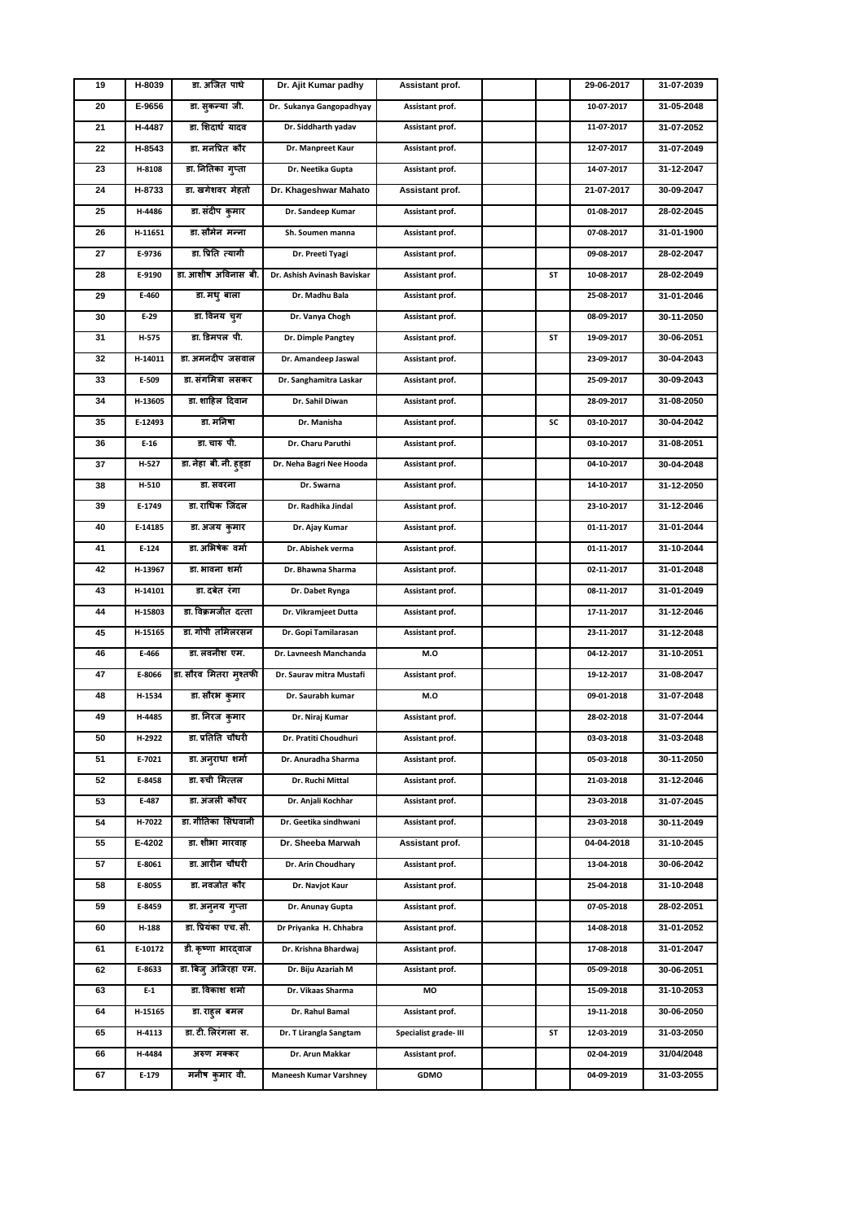| 19 | H-8039  | डा. अजित पांधे          | Dr. Ajit Kumar padhy          | Assistant prof.       |    | 29-06-2017 | 31-07-2039 |
|----|---------|-------------------------|-------------------------------|-----------------------|----|------------|------------|
| 20 | E-9656  | डा. सुकन्या जी.         | Dr. Sukanya Gangopadhyay      | Assistant prof.       |    | 10-07-2017 | 31-05-2048 |
| 21 | H-4487  | डा. शिदार्ध यादव        | Dr. Siddharth yadav           | Assistant prof.       |    | 11-07-2017 | 31-07-2052 |
| 22 | H-8543  | डा. मनप्रित कौर         | Dr. Manpreet Kaur             | Assistant prof.       |    | 12-07-2017 | 31-07-2049 |
| 23 | H-8108  | डा. नितिका गुप्ता       | Dr. Neetika Gupta             | Assistant prof.       |    | 14-07-2017 | 31-12-2047 |
| 24 | H-8733  | डा. खगेशवर मेहतो        | Dr. Khageshwar Mahato         | Assistant prof.       |    | 21-07-2017 | 30-09-2047 |
| 25 | H-4486  | डा. संदीप कुमार         | Dr. Sandeep Kumar             | Assistant prof.       |    | 01-08-2017 | 28-02-2045 |
| 26 | H-11651 | डा. सौमेन  मन्ना        | Sh. Soumen manna              | Assistant prof.       |    | 07-08-2017 | 31-01-1900 |
| 27 | E-9736  | डा. प्रिति त्यागी       | Dr. Preeti Tyagi              | Assistant prof.       |    | 09-08-2017 | 28-02-2047 |
| 28 | E-9190  | डा. आशीष अविनास बी.     | Dr. Ashish Avinash Baviskar   | Assistant prof.       | ST | 10-08-2017 | 28-02-2049 |
| 29 | $E-460$ | डा. मधु बाला            | Dr. Madhu Bala                | Assistant prof.       |    | 25-08-2017 | 31-01-2046 |
| 30 | $E-29$  | डा. विनय च्ग            | Dr. Vanya Chogh               | Assistant prof.       |    | 08-09-2017 | 30-11-2050 |
| 31 | H-575   | डा. डिमपल पी.           | Dr. Dimple Pangtey            | Assistant prof.       | SΤ | 19-09-2017 | 30-06-2051 |
| 32 | H-14011 | डा. अमनदीप  जसवाल       | Dr. Amandeep Jaswal           | Assistant prof.       |    | 23-09-2017 | 30-04-2043 |
| 33 | E-509   | डा. संगमित्रा लसकर      | Dr. Sanghamitra Laskar        | Assistant prof.       |    | 25-09-2017 | 30-09-2043 |
| 34 | H-13605 | डा. शाहिल दिवान         | Dr. Sahil Diwan               | Assistant prof.       |    | 28-09-2017 | 31-08-2050 |
| 35 | E-12493 | डा. मनिषा               | Dr. Manisha                   | Assistant prof.       | SC | 03-10-2017 | 30-04-2042 |
| 36 | $E-16$  | डा. चारु पी.            | Dr. Charu Paruthi             | Assistant prof.       |    | 03-10-2017 | 31-08-2051 |
| 37 | H-527   | डा. नेहा  बी. नी. हड्डा | Dr. Neha Bagri Nee Hooda      | Assistant prof.       |    | 04-10-2017 | 30-04-2048 |
| 38 | H-510   | डा. सवरना               | Dr. Swarna                    | Assistant prof.       |    | 14-10-2017 | 31-12-2050 |
| 39 | E-1749  | डा राधिक जिंदल          | Dr. Radhika Jindal            | Assistant prof.       |    | 23-10-2017 | 31-12-2046 |
| 40 | E-14185 | डा. अजय कुमार           | Dr. Ajay Kumar                | Assistant prof.       |    | 01-11-2017 | 31-01-2044 |
| 41 | E-124   | डा. अभिषेक  वर्मा       | Dr. Abishek verma             | Assistant prof.       |    | 01-11-2017 | 31-10-2044 |
| 42 | H-13967 | डा. भावना शर्मा         | Dr. Bhawna Sharma             | Assistant prof.       |    | 02-11-2017 | 31-01-2048 |
| 43 | H-14101 | डा. दबेत रंगा           | Dr. Dabet Rynga               | Assistant prof.       |    | 08-11-2017 | 31-01-2049 |
| 44 | H-15803 | डा. विक्रमजीत  दत्ता    | Dr. Vikramjeet Dutta          | Assistant prof.       |    | 17-11-2017 | 31-12-2046 |
| 45 | H-15165 | डा. गोपी तमिलरसन        | Dr. Gopi Tamilarasan          | Assistant prof.       |    | 23-11-2017 | 31-12-2048 |
| 46 | E-466   | डा. लवनीश  एम.          | Dr. Lavneesh Manchanda        | M.O                   |    | 04-12-2017 | 31-10-2051 |
| 47 | E-8066  | डा. सौरव मितरा मुश्तफी  | Dr. Saurav mitra Mustafi      | Assistant prof.       |    | 19-12-2017 | 31-08-2047 |
| 48 | H-1534  | डा. सौरभ  कुमार         | Dr. Saurabh kumar             | M.O                   |    | 09-01-2018 | 31-07-2048 |
| 49 | H-4485  | डा. निरज कुमार          | Dr. Niraj Kumar               | Assistant prof.       |    | 28-02-2018 | 31-07-2044 |
| 50 | H-2922  | डा. प्रतिति चौधरी       | Dr. Pratiti Choudhuri         | Assistant prof.       |    | 03-03-2018 | 31-03-2048 |
| 51 | E-7021  | डा. अनुराधा शर्मा       | Dr. Anuradha Sharma           | Assistant prof.       |    | 05-03-2018 | 30-11-2050 |
| 52 | E-8458  | डा. रुची मित्तल         | Dr. Ruchi Mittal              | Assistant prof.       |    | 21-03-2018 | 31-12-2046 |
| 53 | E-487   | डा. अंजली कौचर          | Dr. Anjali Kochhar            | Assistant prof.       |    | 23-03-2018 | 31-07-2045 |
| 54 | H-7022  | डा. गीतिका सिंधवानी     | Dr. Geetika sindhwani         | Assistant prof.       |    | 23-03-2018 | 30-11-2049 |
| 55 | E-4202  | डा. शीभा मारवाह         | Dr. Sheeba Marwah             | Assistant prof.       |    | 04-04-2018 | 31-10-2045 |
| 57 | E-8061  | डा. आरीन चौधरी          | Dr. Arin Choudhary            | Assistant prof.       |    | 13-04-2018 | 30-06-2042 |
| 58 | E-8055  | डा. नवजोत कौर           | Dr. Navjot Kaur               | Assistant prof.       |    | 25-04-2018 | 31-10-2048 |
| 59 | E-8459  | डा. अनुनय गुप्ता        | Dr. Anunay Gupta              | Assistant prof.       |    | 07-05-2018 | 28-02-2051 |
| 60 | H-188   | डा. प्रियंका एच. सी.    | Dr Priyanka H. Chhabra        | Assistant prof.       |    | 14-08-2018 | 31-01-2052 |
| 61 | E-10172 | डी. कृष्णा भारदवाज      | Dr. Krishna Bhardwaj          | Assistant prof.       |    | 17-08-2018 | 31-01-2047 |
| 62 | E-8633  | डा. बिज् अजिरहा एम.     | Dr. Biju Azariah M            | Assistant prof.       |    | 05-09-2018 | 30-06-2051 |
| 63 | $E-1$   | डा. विकाश  शर्मा        | Dr. Vikaas Sharma             | МO                    |    | 15-09-2018 | 31-10-2053 |
| 64 | H-15165 | डा. राहुल बमल           | Dr. Rahul Bamal               | Assistant prof.       |    | 19-11-2018 | 30-06-2050 |
| 65 | H-4113  | डा. टी. लिरंगला स.      | Dr. T Lirangla Sangtam        | Specialist grade- III | ST | 12-03-2019 | 31-03-2050 |
| 66 | H-4484  | अरुण मक्कर              | Dr. Arun Makkar               | Assistant prof.       |    | 02-04-2019 | 31/04/2048 |
| 67 | E-179   | मनीष कुमार वी.          | <b>Maneesh Kumar Varshney</b> | GDMO                  |    | 04-09-2019 | 31-03-2055 |
|    |         |                         |                               |                       |    |            |            |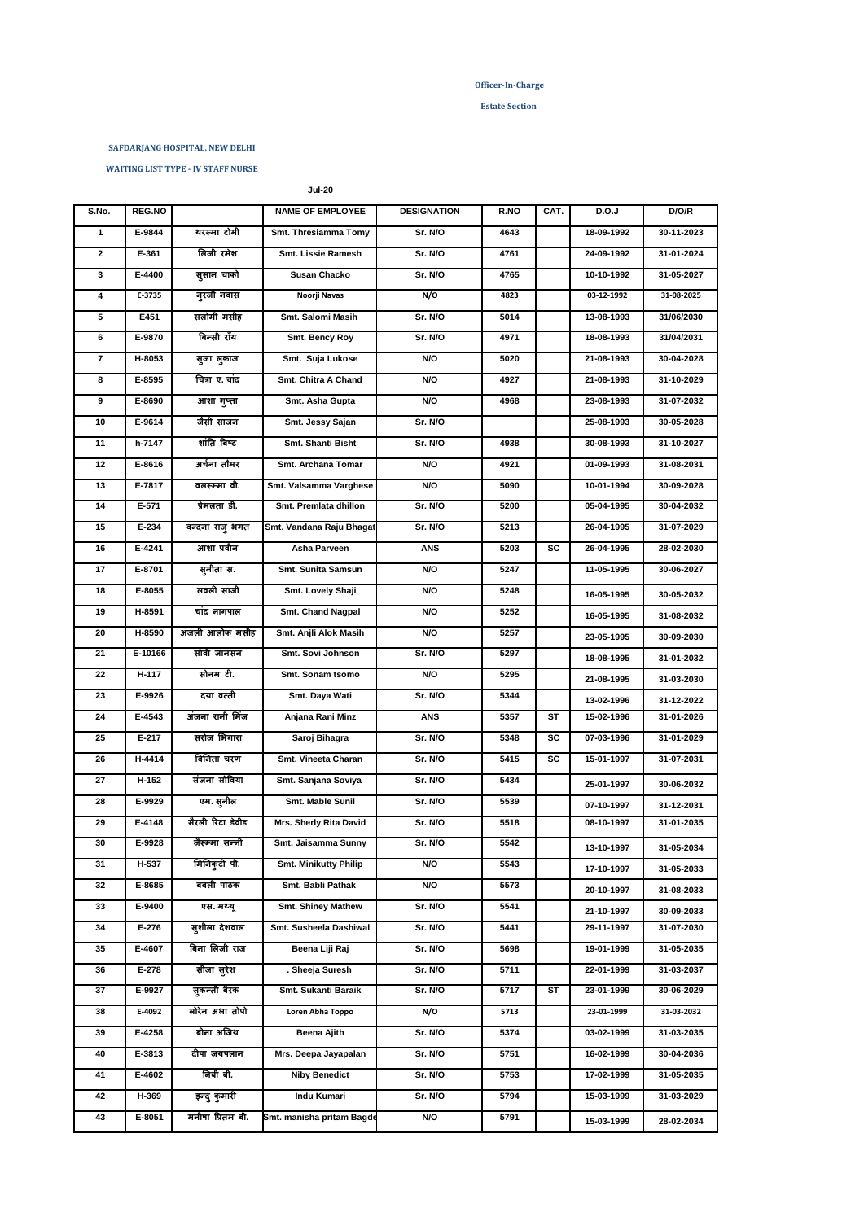### **Estate Section**

#### **SAFDARJANG HOSPITAL, NEW DELHI**

 **WAITING LIST TYPE - IV STAFF NURSE**

 **Jul-20**

| S.No. | REG.NO  |                  | <b>NAME OF EMPLOYEE</b>      | <b>DESIGNATION</b> | R.NO | CAT. | D.O.J      | D/O/R      |
|-------|---------|------------------|------------------------------|--------------------|------|------|------------|------------|
| 1     | E-9844  | थरस्मा टोमी      | Smt. Thresiamma Tomy         | Sr. N/O            | 4643 |      | 18-09-1992 | 30-11-2023 |
| 2     | E-361   | लिजी रमेश        | Smt. Lissie Ramesh           | Sr. N/O            | 4761 |      | 24-09-1992 | 31-01-2024 |
| 3     | E-4400  | सुसान चाको       | <b>Susan Chacko</b>          | Sr. N/O            | 4765 |      | 10-10-1992 | 31-05-2027 |
| 4     | E-3735  | न्खा नवास        | Noorji Navas                 | N/O                | 4823 |      | 03-12-1992 | 31-08-2025 |
| 5     | E451    | सलोमी मसीह       | Smt. Salomi Masih            | Sr. N/O            | 5014 |      | 13-08-1993 | 31/06/2030 |
| 6     | E-9870  | बिन्सी राँय      | Smt. Bency Roy               | Sr. N/O            | 4971 |      | 18-08-1993 | 31/04/2031 |
| 7     | H-8053  | सुजा लुकाज       | Smt. Suja Lukose             | N/O                | 5020 |      | 21-08-1993 | 30-04-2028 |
| 8     | E-8595  | चित्रा ए. चांद   | Smt. Chitra A Chand          | N/O                | 4927 |      | 21-08-1993 | 31-10-2029 |
| 9     | E-8690  | आशा गुप्ता       | Smt. Asha Gupta              | N/O                | 4968 |      | 23-08-1993 | 31-07-2032 |
| 10    | E-9614  | जैसी साजन        | Smt. Jessy Sajan             | Sr. N/O            |      |      | 25-08-1993 | 30-05-2028 |
| 11    | h-7147  | शांति बिष्ट      | Smt. Shanti Bisht            | Sr. N/O            | 4938 |      | 30-08-1993 | 31-10-2027 |
| 12    | E-8616  | अर्चना तौमर      | Smt. Archana Tomar           | N/O                | 4921 |      | 01-09-1993 | 31-08-2031 |
| 13    | E-7817  | वलस्म्मा वी.     | Smt. Valsamma Varghese       | N/O                | 5090 |      | 10-01-1994 | 30-09-2028 |
| 14    | E-571   | प्रेमलता डी.     | Smt. Premlata dhillon        | Sr. N/O            | 5200 |      | 05-04-1995 | 30-04-2032 |
| 15    | E-234   | वन्दना राजु भगत  | Smt. Vandana Raju Bhagat     | Sr. N/O            | 5213 |      | 26-04-1995 | 31-07-2029 |
| 16    | E-4241  | आशा प्रवीन       | Asha Parveen                 | ANS                | 5203 | SC   | 26-04-1995 | 28-02-2030 |
| 17    | E-8701  | स्नीता स.        | Smt. Sunita Samsun           | N/O                | 5247 |      | 11-05-1995 | 30-06-2027 |
| 18    | E-8055  | लवली साजी        | Smt. Lovely Shaji            | N/O                | 5248 |      | 16-05-1995 | 30-05-2032 |
| 19    | H-8591  | चांद नागपाल      | Smt. Chand Nagpal            | N/O                | 5252 |      | 16-05-1995 | 31-08-2032 |
| 20    | H-8590  | अंजली आलोक मसीह  | Smt. Anjli Alok Masih        | N/O                | 5257 |      | 23-05-1995 | 30-09-2030 |
| 21    | E-10166 | सोवी जानसन       | Smt. Sovi Johnson            | Sr. N/O            | 5297 |      | 18-08-1995 | 31-01-2032 |
| 22    | H-117   | सोनम टी.         | Smt. Sonam tsomo             | N/O                | 5295 |      | 21-08-1995 | 31-03-2030 |
| 23    | E-9926  | दया वत्ती        | Smt. Daya Wati               | Sr. N/O            | 5344 |      | 13-02-1996 | 31-12-2022 |
| 24    | E-4543  | अंजना रानी मिंज  | Anjana Rani Minz             | <b>ANS</b>         | 5357 | ST   | 15-02-1996 | 31-01-2026 |
| 25    | E-217   | सरोज भिगारा      | Saroj Bihagra                | Sr. N/O            | 5348 | SC   | 07-03-1996 | 31-01-2029 |
| 26    | H-4414  | विनिता चरण       | Smt. Vineeta Charan          | Sr. N/O            | 5415 | sc   | 15-01-1997 | 31-07-2031 |
| 27    | $H-152$ | संजना सोविया     | Smt. Sanjana Soviya          | Sr. N/O            | 5434 |      | 25-01-1997 | 30-06-2032 |
| 28    | E-9929  | एम. सूनील        | Smt. Mable Sunil             | Sr. N/O            | 5539 |      | 07-10-1997 | 31-12-2031 |
| 29    | E-4148  | सैरली रिटा डेवीड | Mrs. Sherly Rita David       | Sr. N/O            | 5518 |      | 08-10-1997 | 31-01-2035 |
| 30    | E-9928  | जैस्म्मा सन्नी   | Smt. Jaisamma Sunny          | Sr. N/O            | 5542 |      | 13-10-1997 | 31-05-2034 |
| 31    | H-537   | मिनिकुटी पी.     | <b>Smt. Minikutty Philip</b> | N/O                | 5543 |      | 17-10-1997 | 31-05-2033 |
| 32    | E-8685  | बबली पाठक        | Smt. Babli Pathak            | N/O                | 5573 |      | 20-10-1997 | 31-08-2033 |
| 33    | E-9400  | एस. मध्य्        | Smt. Shiney Mathew           | Sr. N/O            | 5541 |      | 21-10-1997 | 30-09-2033 |
| 34    | E-276   | सुशीला देशवाल    | Smt. Susheela Dashiwal       | Sr. N/O            | 5441 |      | 29-11-1997 | 31-07-2030 |
| 35    | E-4607  | बिना लिजी राज    | Beena Liji Raj               | Sr. N/O            | 5698 |      | 19-01-1999 | 31-05-2035 |
| 36    | E-278   | सीजा सुरेश       | . Sheeja Suresh              | Sr. N/O            | 5711 |      | 22-01-1999 | 31-03-2037 |
| 37    | E-9927  | सुकन्ती बैरक     | Smt. Sukanti Baraik          | Sr. N/O            | 5717 | ST   | 23-01-1999 | 30-06-2029 |
| 38    | E-4092  | लोरेन अभा तोपो   | Loren Abha Toppo             | N/O                | 5713 |      | 23-01-1999 | 31-03-2032 |
| 39    | E-4258  | बीना अजिथ        | Beena Ajith                  | Sr. N/O            | 5374 |      | 03-02-1999 | 31-03-2035 |
| 40    | E-3813  | दीपा जयपलान      | Mrs. Deepa Jayapalan         | Sr. N/O            | 5751 |      | 16-02-1999 | 30-04-2036 |
| 41    | E-4602  | निबी बी.         | <b>Niby Benedict</b>         | Sr. N/O            | 5753 |      | 17-02-1999 | 31-05-2035 |
| 42    | H-369   | इन्दु कुमारी     | Indu Kumari                  | Sr. N/O            | 5794 |      | 15-03-1999 | 31-03-2029 |
| 43    | E-8051  | मनीषा प्रितम बी. | Smt. manisha pritam Bagde    | N/O                | 5791 |      | 15-03-1999 | 28-02-2034 |